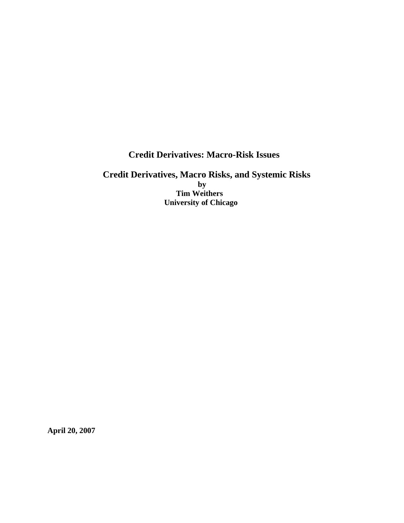**Credit Derivatives: Macro-Risk Issues** 

 **Credit Derivatives, Macro Risks, and Systemic Risks by Tim Weithers University of Chicago** 

**April 20, 2007**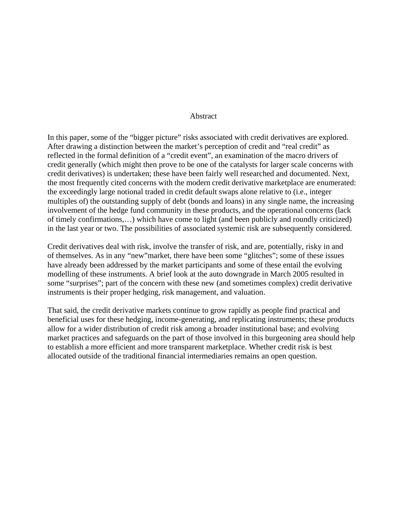## Abstract

In this paper, some of the "bigger picture" risks associated with credit derivatives are explored. After drawing a distinction between the market's perception of credit and "real credit" as reflected in the formal definition of a "credit event", an examination of the macro drivers of credit generally (which might then prove to be one of the catalysts for larger scale concerns with credit derivatives) is undertaken; these have been fairly well researched and documented. Next, the most frequently cited concerns with the modern credit derivative marketplace are enumerated: the exceedingly large notional traded in credit default swaps alone relative to (i.e., integer multiples of) the outstanding supply of debt (bonds and loans) in any single name, the increasing involvement of the hedge fund community in these products, and the operational concerns (lack of timely confirmations,…) which have come to light (and been publicly and roundly criticized) in the last year or two. The possibilities of associated systemic risk are subsequently considered.

Credit derivatives deal with risk, involve the transfer of risk, and are, potentially, risky in and of themselves. As in any "new"market, there have been some "glitches"; some of these issues have already been addressed by the market participants and some of these entail the evolving modelling of these instruments. A brief look at the auto downgrade in March 2005 resulted in some "surprises"; part of the concern with these new (and sometimes complex) credit derivative instruments is their proper hedging, risk management, and valuation.

That said, the credit derivative markets continue to grow rapidly as people find practical and beneficial uses for these hedging, income-generating, and replicating instruments; these products allow for a wider distribution of credit risk among a broader institutional base; and evolving market practices and safeguards on the part of those involved in this burgeoning area should help to establish a more efficient and more transparent marketplace. Whether credit risk is best allocated outside of the traditional financial intermediaries remains an open question.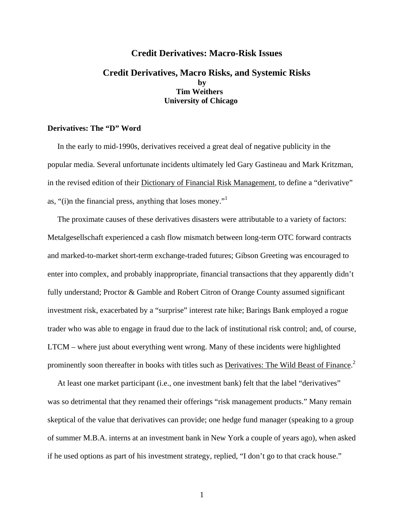# **Credit Derivatives: Macro-Risk Issues**

# **Credit Derivatives, Macro Risks, and Systemic Risks by Tim Weithers University of Chicago**

## **Derivatives: The "D" Word**

 In the early to mid-1990s, derivatives received a great deal of negative publicity in the popular media. Several unfortunate incidents ultimately led Gary Gastineau and Mark Kritzman, in the revised edition of their Dictionary of Financial Risk Management, to define a "derivative" as, "(i)n the financial press, anything that loses money."<sup>1</sup>

 The proximate causes of these derivatives disasters were attributable to a variety of factors: Metalgesellschaft experienced a cash flow mismatch between long-term OTC forward contracts and marked-to-market short-term exchange-traded futures; Gibson Greeting was encouraged to enter into complex, and probably inappropriate, financial transactions that they apparently didn't fully understand; Proctor & Gamble and Robert Citron of Orange County assumed significant investment risk, exacerbated by a "surprise" interest rate hike; Barings Bank employed a rogue trader who was able to engage in fraud due to the lack of institutional risk control; and, of course, LTCM – where just about everything went wrong. Many of these incidents were highlighted prominently soon thereafter in books with titles such as **Derivatives: The Wild Beast of Finance**.<sup>2</sup>

 At least one market participant (i.e., one investment bank) felt that the label "derivatives" was so detrimental that they renamed their offerings "risk management products." Many remain skeptical of the value that derivatives can provide; one hedge fund manager (speaking to a group of summer M.B.A. interns at an investment bank in New York a couple of years ago), when asked if he used options as part of his investment strategy, replied, "I don't go to that crack house."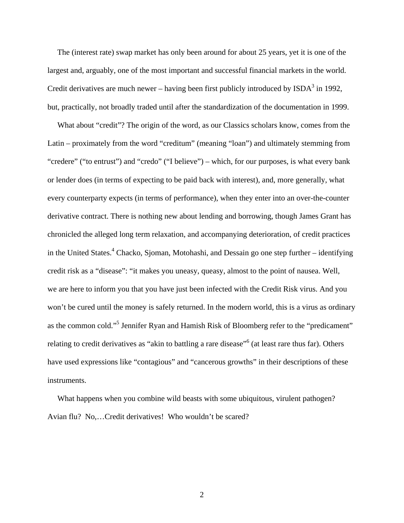The (interest rate) swap market has only been around for about 25 years, yet it is one of the largest and, arguably, one of the most important and successful financial markets in the world. Credit derivatives are much newer – having been first publicly introduced by  $ISDA<sup>3</sup>$  in 1992, but, practically, not broadly traded until after the standardization of the documentation in 1999.

 What about "credit"? The origin of the word, as our Classics scholars know, comes from the Latin – proximately from the word "creditum" (meaning "loan") and ultimately stemming from "credere" ("to entrust") and "credo" ("I believe") – which, for our purposes, is what every bank or lender does (in terms of expecting to be paid back with interest), and, more generally, what every counterparty expects (in terms of performance), when they enter into an over-the-counter derivative contract. There is nothing new about lending and borrowing, though James Grant has chronicled the alleged long term relaxation, and accompanying deterioration, of credit practices in the United States.<sup>4</sup> Chacko, Sjoman, Motohashi, and Dessain go one step further – identifying credit risk as a "disease": "it makes you uneasy, queasy, almost to the point of nausea. Well, we are here to inform you that you have just been infected with the Credit Risk virus. And you won't be cured until the money is safely returned. In the modern world, this is a virus as ordinary as the common cold."<sup>5</sup> Jennifer Ryan and Hamish Risk of Bloomberg refer to the "predicament" relating to credit derivatives as "akin to battling a rare disease"<sup>6</sup> (at least rare thus far). Others have used expressions like "contagious" and "cancerous growths" in their descriptions of these instruments.

 What happens when you combine wild beasts with some ubiquitous, virulent pathogen? Avian flu? No,…Credit derivatives! Who wouldn't be scared?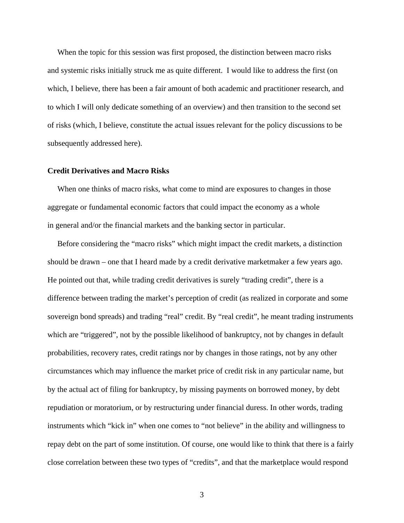When the topic for this session was first proposed, the distinction between macro risks and systemic risks initially struck me as quite different. I would like to address the first (on which, I believe, there has been a fair amount of both academic and practitioner research, and to which I will only dedicate something of an overview) and then transition to the second set of risks (which, I believe, constitute the actual issues relevant for the policy discussions to be subsequently addressed here).

## **Credit Derivatives and Macro Risks**

 When one thinks of macro risks, what come to mind are exposures to changes in those aggregate or fundamental economic factors that could impact the economy as a whole in general and/or the financial markets and the banking sector in particular.

 Before considering the "macro risks" which might impact the credit markets, a distinction should be drawn – one that I heard made by a credit derivative marketmaker a few years ago. He pointed out that, while trading credit derivatives is surely "trading credit", there is a difference between trading the market's perception of credit (as realized in corporate and some sovereign bond spreads) and trading "real" credit. By "real credit", he meant trading instruments which are "triggered", not by the possible likelihood of bankruptcy, not by changes in default probabilities, recovery rates, credit ratings nor by changes in those ratings, not by any other circumstances which may influence the market price of credit risk in any particular name, but by the actual act of filing for bankruptcy, by missing payments on borrowed money, by debt repudiation or moratorium, or by restructuring under financial duress. In other words, trading instruments which "kick in" when one comes to "not believe" in the ability and willingness to repay debt on the part of some institution. Of course, one would like to think that there is a fairly close correlation between these two types of "credits", and that the marketplace would respond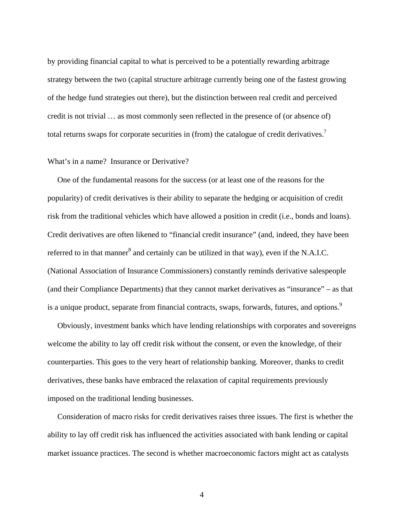by providing financial capital to what is perceived to be a potentially rewarding arbitrage strategy between the two (capital structure arbitrage currently being one of the fastest growing of the hedge fund strategies out there), but the distinction between real credit and perceived credit is not trivial … as most commonly seen reflected in the presence of (or absence of) total returns swaps for corporate securities in (from) the catalogue of credit derivatives.<sup>7</sup>

## What's in a name? Insurance or Derivative?

 One of the fundamental reasons for the success (or at least one of the reasons for the popularity) of credit derivatives is their ability to separate the hedging or acquisition of credit risk from the traditional vehicles which have allowed a position in credit (i.e., bonds and loans). Credit derivatives are often likened to "financial credit insurance" (and, indeed, they have been referred to in that manner<sup>8</sup> and certainly can be utilized in that way), even if the N.A.I.C. (National Association of Insurance Commissioners) constantly reminds derivative salespeople (and their Compliance Departments) that they cannot market derivatives as "insurance" – as that is a unique product, separate from financial contracts, swaps, forwards, futures, and options.<sup>9</sup>

 Obviously, investment banks which have lending relationships with corporates and sovereigns welcome the ability to lay off credit risk without the consent, or even the knowledge, of their counterparties. This goes to the very heart of relationship banking. Moreover, thanks to credit derivatives, these banks have embraced the relaxation of capital requirements previously imposed on the traditional lending businesses.

 Consideration of macro risks for credit derivatives raises three issues. The first is whether the ability to lay off credit risk has influenced the activities associated with bank lending or capital market issuance practices. The second is whether macroeconomic factors might act as catalysts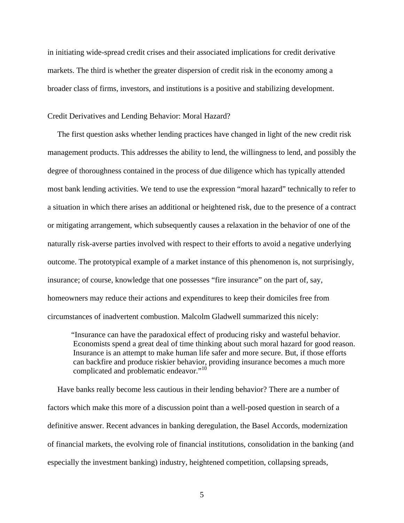in initiating wide-spread credit crises and their associated implications for credit derivative markets. The third is whether the greater dispersion of credit risk in the economy among a broader class of firms, investors, and institutions is a positive and stabilizing development.

### Credit Derivatives and Lending Behavior: Moral Hazard?

 The first question asks whether lending practices have changed in light of the new credit risk management products. This addresses the ability to lend, the willingness to lend, and possibly the degree of thoroughness contained in the process of due diligence which has typically attended most bank lending activities. We tend to use the expression "moral hazard" technically to refer to a situation in which there arises an additional or heightened risk, due to the presence of a contract or mitigating arrangement, which subsequently causes a relaxation in the behavior of one of the naturally risk-averse parties involved with respect to their efforts to avoid a negative underlying outcome. The prototypical example of a market instance of this phenomenon is, not surprisingly, insurance; of course, knowledge that one possesses "fire insurance" on the part of, say, homeowners may reduce their actions and expenditures to keep their domiciles free from circumstances of inadvertent combustion. Malcolm Gladwell summarized this nicely:

 "Insurance can have the paradoxical effect of producing risky and wasteful behavior. Economists spend a great deal of time thinking about such moral hazard for good reason. Insurance is an attempt to make human life safer and more secure. But, if those efforts can backfire and produce riskier behavior, providing insurance becomes a much more complicated and problematic endeavor."<sup>10</sup>

 Have banks really become less cautious in their lending behavior? There are a number of factors which make this more of a discussion point than a well-posed question in search of a definitive answer. Recent advances in banking deregulation, the Basel Accords, modernization of financial markets, the evolving role of financial institutions, consolidation in the banking (and especially the investment banking) industry, heightened competition, collapsing spreads,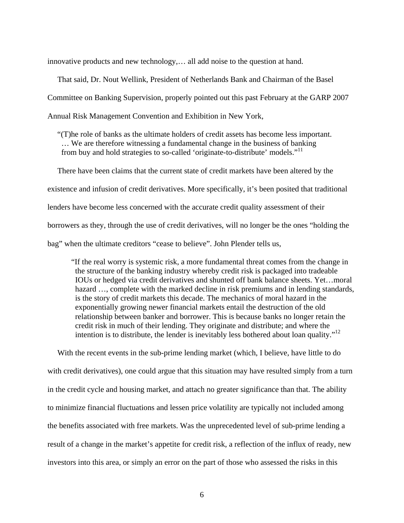innovative products and new technology,… all add noise to the question at hand.

 That said, Dr. Nout Wellink, President of Netherlands Bank and Chairman of the Basel Committee on Banking Supervision, properly pointed out this past February at the GARP 2007 Annual Risk Management Convention and Exhibition in New York,

 "(T)he role of banks as the ultimate holders of credit assets has become less important. … We are therefore witnessing a fundamental change in the business of banking from buy and hold strategies to so-called 'originate-to-distribute' models."<sup>11</sup>

 There have been claims that the current state of credit markets have been altered by the existence and infusion of credit derivatives. More specifically, it's been posited that traditional lenders have become less concerned with the accurate credit quality assessment of their borrowers as they, through the use of credit derivatives, will no longer be the ones "holding the bag" when the ultimate creditors "cease to believe". John Plender tells us,

"If the real worry is systemic risk, a more fundamental threat comes from the change in the structure of the banking industry whereby credit risk is packaged into tradeable IOUs or hedged via credit derivatives and shunted off bank balance sheets. Yet…moral hazard ..., complete with the marked decline in risk premiums and in lending standards, is the story of credit markets this decade. The mechanics of moral hazard in the exponentially growing newer financial markets entail the destruction of the old relationship between banker and borrower. This is because banks no longer retain the credit risk in much of their lending. They originate and distribute; and where the intention is to distribute, the lender is inevitably less bothered about loan quality."<sup>12</sup>

With the recent events in the sub-prime lending market (which, I believe, have little to do with credit derivatives), one could argue that this situation may have resulted simply from a turn in the credit cycle and housing market, and attach no greater significance than that. The ability to minimize financial fluctuations and lessen price volatility are typically not included among the benefits associated with free markets. Was the unprecedented level of sub-prime lending a result of a change in the market's appetite for credit risk, a reflection of the influx of ready, new investors into this area, or simply an error on the part of those who assessed the risks in this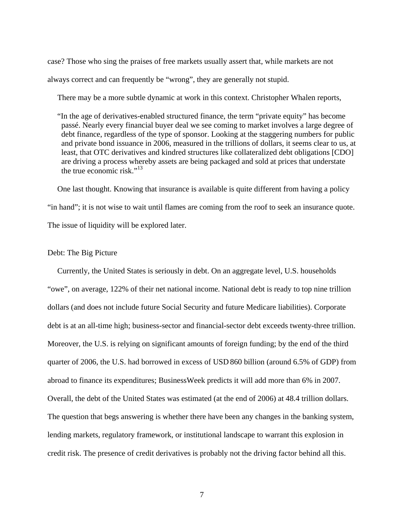case? Those who sing the praises of free markets usually assert that, while markets are not always correct and can frequently be "wrong", they are generally not stupid.

There may be a more subtle dynamic at work in this context. Christopher Whalen reports,

 "In the age of derivatives-enabled structured finance, the term "private equity" has become passé. Nearly every financial buyer deal we see coming to market involves a large degree of debt finance, regardless of the type of sponsor. Looking at the staggering numbers for public and private bond issuance in 2006, measured in the trillions of dollars, it seems clear to us, at least, that OTC derivatives and kindred structures like collateralized debt obligations [CDO] are driving a process whereby assets are being packaged and sold at prices that understate the true economic risk." $13$ 

 One last thought. Knowing that insurance is available is quite different from having a policy "in hand"; it is not wise to wait until flames are coming from the roof to seek an insurance quote. The issue of liquidity will be explored later.

#### Debt: The Big Picture

 Currently, the United States is seriously in debt. On an aggregate level, U.S. households "owe", on average, 122% of their net national income. National debt is ready to top nine trillion dollars (and does not include future Social Security and future Medicare liabilities). Corporate debt is at an all-time high; business-sector and financial-sector debt exceeds twenty-three trillion. Moreover, the U.S. is relying on significant amounts of foreign funding; by the end of the third quarter of 2006, the U.S. had borrowed in excess of USD 860 billion (around 6.5% of GDP) from abroad to finance its expenditures; BusinessWeek predicts it will add more than 6% in 2007. Overall, the debt of the United States was estimated (at the end of 2006) at 48.4 trillion dollars. The question that begs answering is whether there have been any changes in the banking system, lending markets, regulatory framework, or institutional landscape to warrant this explosion in credit risk. The presence of credit derivatives is probably not the driving factor behind all this.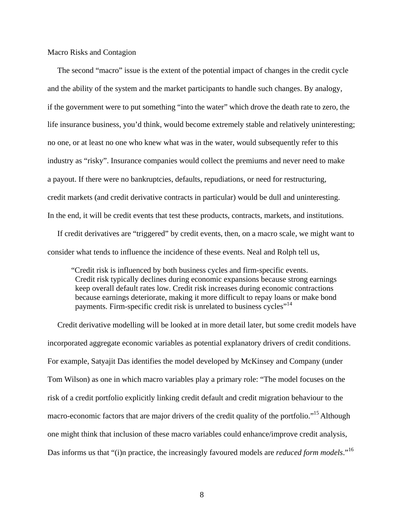#### Macro Risks and Contagion

 The second "macro" issue is the extent of the potential impact of changes in the credit cycle and the ability of the system and the market participants to handle such changes. By analogy, if the government were to put something "into the water" which drove the death rate to zero, the life insurance business, you'd think, would become extremely stable and relatively uninteresting; no one, or at least no one who knew what was in the water, would subsequently refer to this industry as "risky". Insurance companies would collect the premiums and never need to make a payout. If there were no bankruptcies, defaults, repudiations, or need for restructuring, credit markets (and credit derivative contracts in particular) would be dull and uninteresting. In the end, it will be credit events that test these products, contracts, markets, and institutions.

 If credit derivatives are "triggered" by credit events, then, on a macro scale, we might want to consider what tends to influence the incidence of these events. Neal and Rolph tell us,

"Credit risk is influenced by both business cycles and firm-specific events. Credit risk typically declines during economic expansions because strong earnings keep overall default rates low. Credit risk increases during economic contractions because earnings deteriorate, making it more difficult to repay loans or make bond payments. Firm-specific credit risk is unrelated to business cycles"<sup>14</sup>

 Credit derivative modelling will be looked at in more detail later, but some credit models have incorporated aggregate economic variables as potential explanatory drivers of credit conditions. For example, Satyajit Das identifies the model developed by McKinsey and Company (under Tom Wilson) as one in which macro variables play a primary role: "The model focuses on the risk of a credit portfolio explicitly linking credit default and credit migration behaviour to the macro-economic factors that are major drivers of the credit quality of the portfolio."<sup>15</sup> Although one might think that inclusion of these macro variables could enhance/improve credit analysis, Das informs us that "(i)n practice, the increasingly favoured models are *reduced form models*."<sup>16</sup>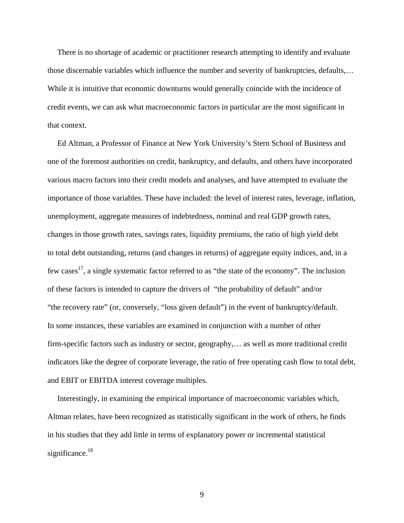There is no shortage of academic or practitioner research attempting to identify and evaluate those discernable variables which influence the number and severity of bankruptcies, defaults,… While it is intuitive that economic downturns would generally coincide with the incidence of credit events, we can ask what macroeconomic factors in particular are the most significant in that context.

 Ed Altman, a Professor of Finance at New York University's Stern School of Business and one of the foremost authorities on credit, bankruptcy, and defaults, and others have incorporated various macro factors into their credit models and analyses, and have attempted to evaluate the importance of those variables. These have included: the level of interest rates, leverage, inflation, unemployment, aggregate measures of indebtedness, nominal and real GDP growth rates, changes in those growth rates, savings rates, liquidity premiums, the ratio of high yield debt to total debt outstanding, returns (and changes in returns) of aggregate equity indices, and, in a few cases<sup>17</sup>, a single systematic factor referred to as "the state of the economy". The inclusion of these factors is intended to capture the drivers of "the probability of default" and/or "the recovery rate" (or, conversely, "loss given default") in the event of bankruptcy/default. In some instances, these variables are examined in conjunction with a number of other firm-specific factors such as industry or sector, geography,… as well as more traditional credit indicators like the degree of corporate leverage, the ratio of free operating cash flow to total debt, and EBIT or EBITDA interest coverage multiples.

 Interestingly, in examining the empirical importance of macroeconomic variables which, Altman relates, have been recognized as statistically significant in the work of others, he finds in his studies that they add little in terms of explanatory power or incremental statistical significance. $18$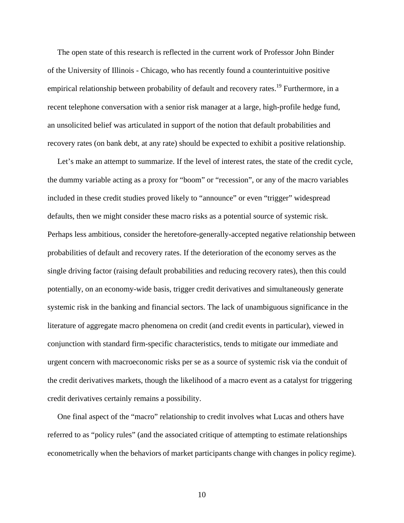The open state of this research is reflected in the current work of Professor John Binder of the University of Illinois - Chicago, who has recently found a counterintuitive positive empirical relationship between probability of default and recovery rates.<sup>19</sup> Furthermore, in a recent telephone conversation with a senior risk manager at a large, high-profile hedge fund, an unsolicited belief was articulated in support of the notion that default probabilities and recovery rates (on bank debt, at any rate) should be expected to exhibit a positive relationship.

 Let's make an attempt to summarize. If the level of interest rates, the state of the credit cycle, the dummy variable acting as a proxy for "boom" or "recession", or any of the macro variables included in these credit studies proved likely to "announce" or even "trigger" widespread defaults, then we might consider these macro risks as a potential source of systemic risk. Perhaps less ambitious, consider the heretofore-generally-accepted negative relationship between probabilities of default and recovery rates. If the deterioration of the economy serves as the single driving factor (raising default probabilities and reducing recovery rates), then this could potentially, on an economy-wide basis, trigger credit derivatives and simultaneously generate systemic risk in the banking and financial sectors. The lack of unambiguous significance in the literature of aggregate macro phenomena on credit (and credit events in particular), viewed in conjunction with standard firm-specific characteristics, tends to mitigate our immediate and urgent concern with macroeconomic risks per se as a source of systemic risk via the conduit of the credit derivatives markets, though the likelihood of a macro event as a catalyst for triggering credit derivatives certainly remains a possibility.

 One final aspect of the "macro" relationship to credit involves what Lucas and others have referred to as "policy rules" (and the associated critique of attempting to estimate relationships econometrically when the behaviors of market participants change with changes in policy regime).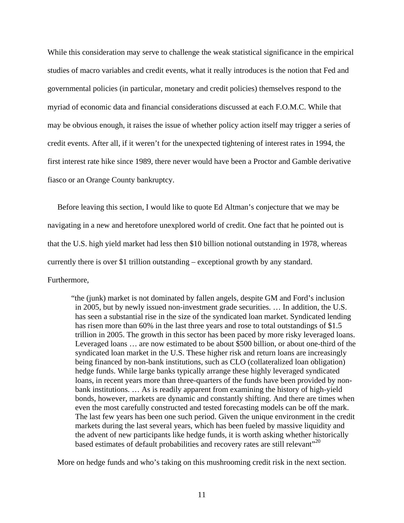While this consideration may serve to challenge the weak statistical significance in the empirical studies of macro variables and credit events, what it really introduces is the notion that Fed and governmental policies (in particular, monetary and credit policies) themselves respond to the myriad of economic data and financial considerations discussed at each F.O.M.C. While that may be obvious enough, it raises the issue of whether policy action itself may trigger a series of credit events. After all, if it weren't for the unexpected tightening of interest rates in 1994, the first interest rate hike since 1989, there never would have been a Proctor and Gamble derivative fiasco or an Orange County bankruptcy.

 Before leaving this section, I would like to quote Ed Altman's conjecture that we may be navigating in a new and heretofore unexplored world of credit. One fact that he pointed out is that the U.S. high yield market had less then \$10 billion notional outstanding in 1978, whereas currently there is over \$1 trillion outstanding – exceptional growth by any standard. Furthermore,

"the (junk) market is not dominated by fallen angels, despite GM and Ford's inclusion in 2005, but by newly issued non-investment grade securities. … In addition, the U.S. has seen a substantial rise in the size of the syndicated loan market. Syndicated lending has risen more than 60% in the last three years and rose to total outstandings of \$1.5 trillion in 2005. The growth in this sector has been paced by more risky leveraged loans. Leveraged loans … are now estimated to be about \$500 billion, or about one-third of the syndicated loan market in the U.S. These higher risk and return loans are increasingly being financed by non-bank institutions, such as CLO (collateralized loan obligation) hedge funds. While large banks typically arrange these highly leveraged syndicated loans, in recent years more than three-quarters of the funds have been provided by non bank institutions. … As is readily apparent from examining the history of high-yield bonds, however, markets are dynamic and constantly shifting. And there are times when even the most carefully constructed and tested forecasting models can be off the mark. The last few years has been one such period. Given the unique environment in the credit markets during the last several years, which has been fueled by massive liquidity and the advent of new participants like hedge funds, it is worth asking whether historically based estimates of default probabilities and recovery rates are still relevant"<sup>20</sup>

More on hedge funds and who's taking on this mushrooming credit risk in the next section.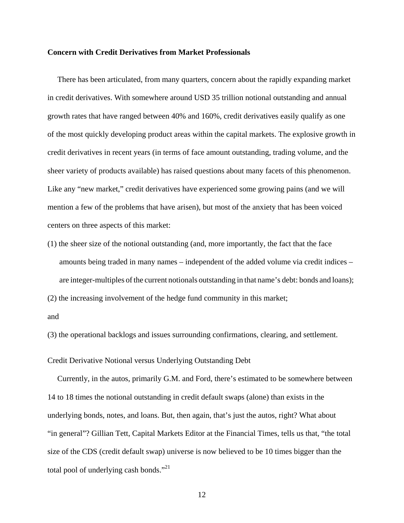#### **Concern with Credit Derivatives from Market Professionals**

 There has been articulated, from many quarters, concern about the rapidly expanding market in credit derivatives. With somewhere around USD 35 trillion notional outstanding and annual growth rates that have ranged between 40% and 160%, credit derivatives easily qualify as one of the most quickly developing product areas within the capital markets. The explosive growth in credit derivatives in recent years (in terms of face amount outstanding, trading volume, and the sheer variety of products available) has raised questions about many facets of this phenomenon. Like any "new market," credit derivatives have experienced some growing pains (and we will mention a few of the problems that have arisen), but most of the anxiety that has been voiced centers on three aspects of this market:

(1) the sheer size of the notional outstanding (and, more importantly, the fact that the face amounts being traded in many names – independent of the added volume via credit indices – are integer-multiples of the current notionals outstanding in that name's debt: bonds and loans);

(2) the increasing involvement of the hedge fund community in this market;

and

(3) the operational backlogs and issues surrounding confirmations, clearing, and settlement.

Credit Derivative Notional versus Underlying Outstanding Debt

 Currently, in the autos, primarily G.M. and Ford, there's estimated to be somewhere between 14 to 18 times the notional outstanding in credit default swaps (alone) than exists in the underlying bonds, notes, and loans. But, then again, that's just the autos, right? What about "in general"? Gillian Tett, Capital Markets Editor at the Financial Times, tells us that, "the total size of the CDS (credit default swap) universe is now believed to be 10 times bigger than the total pool of underlying cash bonds."<sup>21</sup>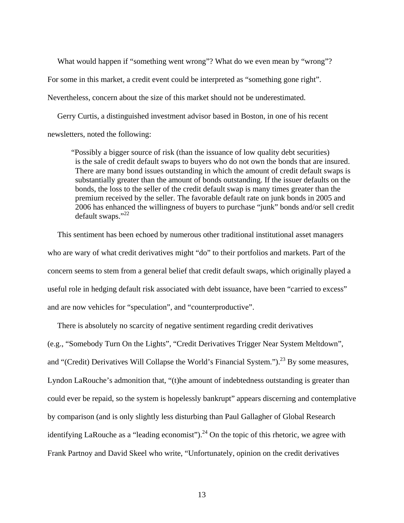What would happen if "something went wrong"? What do we even mean by "wrong"?

For some in this market, a credit event could be interpreted as "something gone right".

Nevertheless, concern about the size of this market should not be underestimated.

 Gerry Curtis, a distinguished investment advisor based in Boston, in one of his recent newsletters, noted the following:

"Possibly a bigger source of risk (than the issuance of low quality debt securities) is the sale of credit default swaps to buyers who do not own the bonds that are insured. There are many bond issues outstanding in which the amount of credit default swaps is substantially greater than the amount of bonds outstanding. If the issuer defaults on the bonds, the loss to the seller of the credit default swap is many times greater than the premium received by the seller. The favorable default rate on junk bonds in 2005 and 2006 has enhanced the willingness of buyers to purchase "junk" bonds and/or sell credit default swaps."22

 This sentiment has been echoed by numerous other traditional institutional asset managers who are wary of what credit derivatives might "do" to their portfolios and markets. Part of the concern seems to stem from a general belief that credit default swaps, which originally played a useful role in hedging default risk associated with debt issuance, have been "carried to excess" and are now vehicles for "speculation", and "counterproductive".

 There is absolutely no scarcity of negative sentiment regarding credit derivatives (e.g., "Somebody Turn On the Lights", "Credit Derivatives Trigger Near System Meltdown", and "(Credit) Derivatives Will Collapse the World's Financial System.").<sup>23</sup> By some measures, Lyndon LaRouche's admonition that, "(t)he amount of indebtedness outstanding is greater than could ever be repaid, so the system is hopelessly bankrupt" appears discerning and contemplative by comparison (and is only slightly less disturbing than Paul Gallagher of Global Research identifying LaRouche as a "leading economist").<sup>24</sup> On the topic of this rhetoric, we agree with Frank Partnoy and David Skeel who write, "Unfortunately, opinion on the credit derivatives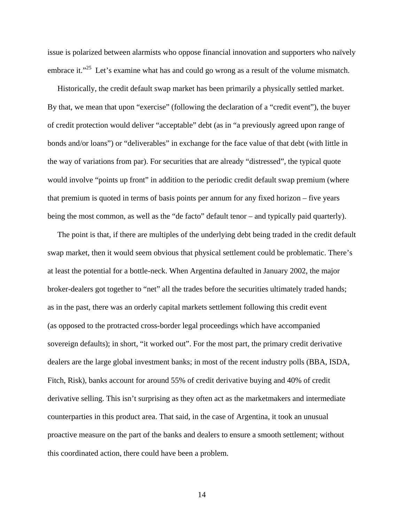issue is polarized between alarmists who oppose financial innovation and supporters who naïvely embrace it."<sup>25</sup> Let's examine what has and could go wrong as a result of the volume mismatch.

 Historically, the credit default swap market has been primarily a physically settled market. By that, we mean that upon "exercise" (following the declaration of a "credit event"), the buyer of credit protection would deliver "acceptable" debt (as in "a previously agreed upon range of bonds and/or loans") or "deliverables" in exchange for the face value of that debt (with little in the way of variations from par). For securities that are already "distressed", the typical quote would involve "points up front" in addition to the periodic credit default swap premium (where that premium is quoted in terms of basis points per annum for any fixed horizon – five years being the most common, as well as the "de facto" default tenor – and typically paid quarterly).

 The point is that, if there are multiples of the underlying debt being traded in the credit default swap market, then it would seem obvious that physical settlement could be problematic. There's at least the potential for a bottle-neck. When Argentina defaulted in January 2002, the major broker-dealers got together to "net" all the trades before the securities ultimately traded hands; as in the past, there was an orderly capital markets settlement following this credit event (as opposed to the protracted cross-border legal proceedings which have accompanied sovereign defaults); in short, "it worked out". For the most part, the primary credit derivative dealers are the large global investment banks; in most of the recent industry polls (BBA, ISDA, Fitch, Risk), banks account for around 55% of credit derivative buying and 40% of credit derivative selling. This isn't surprising as they often act as the marketmakers and intermediate counterparties in this product area. That said, in the case of Argentina, it took an unusual proactive measure on the part of the banks and dealers to ensure a smooth settlement; without this coordinated action, there could have been a problem.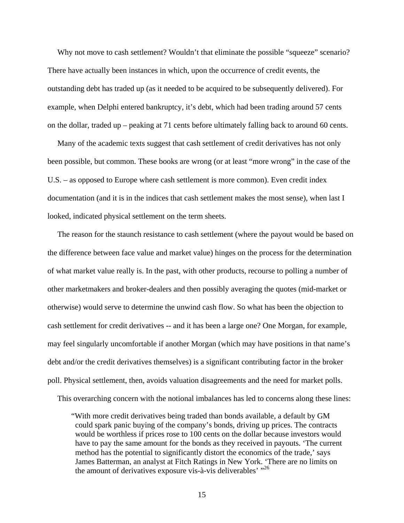Why not move to cash settlement? Wouldn't that eliminate the possible "squeeze" scenario? There have actually been instances in which, upon the occurrence of credit events, the outstanding debt has traded up (as it needed to be acquired to be subsequently delivered). For example, when Delphi entered bankruptcy, it's debt, which had been trading around 57 cents on the dollar, traded up – peaking at 71 cents before ultimately falling back to around 60 cents.

 Many of the academic texts suggest that cash settlement of credit derivatives has not only been possible, but common. These books are wrong (or at least "more wrong" in the case of the U.S. – as opposed to Europe where cash settlement is more common). Even credit index documentation (and it is in the indices that cash settlement makes the most sense), when last I looked, indicated physical settlement on the term sheets.

 The reason for the staunch resistance to cash settlement (where the payout would be based on the difference between face value and market value) hinges on the process for the determination of what market value really is. In the past, with other products, recourse to polling a number of other marketmakers and broker-dealers and then possibly averaging the quotes (mid-market or otherwise) would serve to determine the unwind cash flow. So what has been the objection to cash settlement for credit derivatives -- and it has been a large one? One Morgan, for example, may feel singularly uncomfortable if another Morgan (which may have positions in that name's debt and/or the credit derivatives themselves) is a significant contributing factor in the broker poll. Physical settlement, then, avoids valuation disagreements and the need for market polls.

This overarching concern with the notional imbalances has led to concerns along these lines:

 <sup>&</sup>quot;With more credit derivatives being traded than bonds available, a default by GM could spark panic buying of the company's bonds, driving up prices. The contracts would be worthless if prices rose to 100 cents on the dollar because investors would have to pay the same amount for the bonds as they received in payouts. 'The current method has the potential to significantly distort the economics of the trade,' says James Batterman, an analyst at Fitch Ratings in New York. 'There are no limits on the amount of derivatives exposure vis- $\alpha$ -vis deliverables'  $\frac{1}{26}$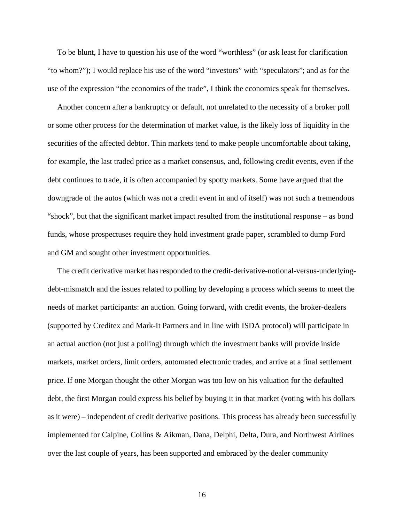To be blunt, I have to question his use of the word "worthless" (or ask least for clarification "to whom?"); I would replace his use of the word "investors" with "speculators"; and as for the use of the expression "the economics of the trade", I think the economics speak for themselves.

 Another concern after a bankruptcy or default, not unrelated to the necessity of a broker poll or some other process for the determination of market value, is the likely loss of liquidity in the securities of the affected debtor. Thin markets tend to make people uncomfortable about taking, for example, the last traded price as a market consensus, and, following credit events, even if the debt continues to trade, it is often accompanied by spotty markets. Some have argued that the downgrade of the autos (which was not a credit event in and of itself) was not such a tremendous "shock", but that the significant market impact resulted from the institutional response – as bond funds, whose prospectuses require they hold investment grade paper, scrambled to dump Ford and GM and sought other investment opportunities.

The credit derivative market has responded to the credit-derivative-notional-versus-underlyingdebt-mismatch and the issues related to polling by developing a process which seems to meet the needs of market participants: an auction. Going forward, with credit events, the broker-dealers (supported by Creditex and Mark-It Partners and in line with ISDA protocol) will participate in an actual auction (not just a polling) through which the investment banks will provide inside markets, market orders, limit orders, automated electronic trades, and arrive at a final settlement price. If one Morgan thought the other Morgan was too low on his valuation for the defaulted debt, the first Morgan could express his belief by buying it in that market (voting with his dollars as it were) – independent of credit derivative positions. This process has already been successfully implemented for Calpine, Collins & Aikman, Dana, Delphi, Delta, Dura, and Northwest Airlines over the last couple of years, has been supported and embraced by the dealer community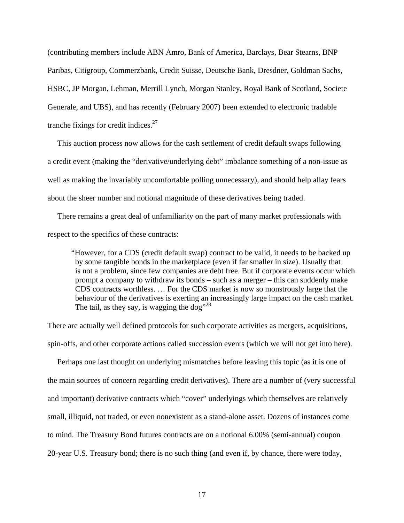(contributing members include ABN Amro, Bank of America, Barclays, Bear Stearns, BNP Paribas, Citigroup, Commerzbank, Credit Suisse, Deutsche Bank, Dresdner, Goldman Sachs, HSBC, JP Morgan, Lehman, Merrill Lynch, Morgan Stanley, Royal Bank of Scotland, Societe Generale, and UBS), and has recently (February 2007) been extended to electronic tradable tranche fixings for credit indices. $27$ 

 This auction process now allows for the cash settlement of credit default swaps following a credit event (making the "derivative/underlying debt" imbalance something of a non-issue as well as making the invariably uncomfortable polling unnecessary), and should help allay fears about the sheer number and notional magnitude of these derivatives being traded.

 There remains a great deal of unfamiliarity on the part of many market professionals with respect to the specifics of these contracts:

 "However, for a CDS (credit default swap) contract to be valid, it needs to be backed up by some tangible bonds in the marketplace (even if far smaller in size). Usually that is not a problem, since few companies are debt free. But if corporate events occur which prompt a company to withdraw its bonds – such as a merger – this can suddenly make CDS contracts worthless. … For the CDS market is now so monstrously large that the behaviour of the derivatives is exerting an increasingly large impact on the cash market. The tail, as they say, is wagging the  $\log^{328}$ 

There are actually well defined protocols for such corporate activities as mergers, acquisitions, spin-offs, and other corporate actions called succession events (which we will not get into here).

 Perhaps one last thought on underlying mismatches before leaving this topic (as it is one of the main sources of concern regarding credit derivatives). There are a number of (very successful and important) derivative contracts which "cover" underlyings which themselves are relatively small, illiquid, not traded, or even nonexistent as a stand-alone asset. Dozens of instances come to mind. The Treasury Bond futures contracts are on a notional 6.00% (semi-annual) coupon 20-year U.S. Treasury bond; there is no such thing (and even if, by chance, there were today,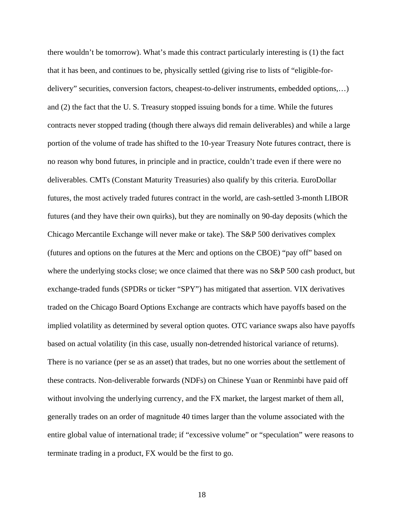there wouldn't be tomorrow). What's made this contract particularly interesting is (1) the fact that it has been, and continues to be, physically settled (giving rise to lists of "eligible-fordelivery" securities, conversion factors, cheapest-to-deliver instruments, embedded options,…) and (2) the fact that the U. S. Treasury stopped issuing bonds for a time. While the futures contracts never stopped trading (though there always did remain deliverables) and while a large portion of the volume of trade has shifted to the 10-year Treasury Note futures contract, there is no reason why bond futures, in principle and in practice, couldn't trade even if there were no deliverables. CMTs (Constant Maturity Treasuries) also qualify by this criteria. EuroDollar futures, the most actively traded futures contract in the world, are cash-settled 3-month LIBOR futures (and they have their own quirks), but they are nominally on 90-day deposits (which the Chicago Mercantile Exchange will never make or take). The S&P 500 derivatives complex (futures and options on the futures at the Merc and options on the CBOE) "pay off" based on where the underlying stocks close; we once claimed that there was no S&P 500 cash product, but exchange-traded funds (SPDRs or ticker "SPY") has mitigated that assertion. VIX derivatives traded on the Chicago Board Options Exchange are contracts which have payoffs based on the implied volatility as determined by several option quotes. OTC variance swaps also have payoffs based on actual volatility (in this case, usually non-detrended historical variance of returns). There is no variance (per se as an asset) that trades, but no one worries about the settlement of these contracts. Non-deliverable forwards (NDFs) on Chinese Yuan or Renminbi have paid off without involving the underlying currency, and the FX market, the largest market of them all, generally trades on an order of magnitude 40 times larger than the volume associated with the entire global value of international trade; if "excessive volume" or "speculation" were reasons to terminate trading in a product, FX would be the first to go.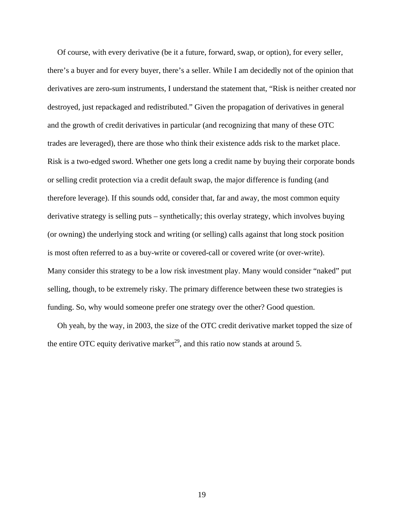Of course, with every derivative (be it a future, forward, swap, or option), for every seller, there's a buyer and for every buyer, there's a seller. While I am decidedly not of the opinion that derivatives are zero-sum instruments, I understand the statement that, "Risk is neither created nor destroyed, just repackaged and redistributed." Given the propagation of derivatives in general and the growth of credit derivatives in particular (and recognizing that many of these OTC trades are leveraged), there are those who think their existence adds risk to the market place. Risk is a two-edged sword. Whether one gets long a credit name by buying their corporate bonds or selling credit protection via a credit default swap, the major difference is funding (and therefore leverage). If this sounds odd, consider that, far and away, the most common equity derivative strategy is selling puts – synthetically; this overlay strategy, which involves buying (or owning) the underlying stock and writing (or selling) calls against that long stock position is most often referred to as a buy-write or covered-call or covered write (or over-write). Many consider this strategy to be a low risk investment play. Many would consider "naked" put selling, though, to be extremely risky. The primary difference between these two strategies is funding. So, why would someone prefer one strategy over the other? Good question.

 Oh yeah, by the way, in 2003, the size of the OTC credit derivative market topped the size of the entire OTC equity derivative market<sup>29</sup>, and this ratio now stands at around 5.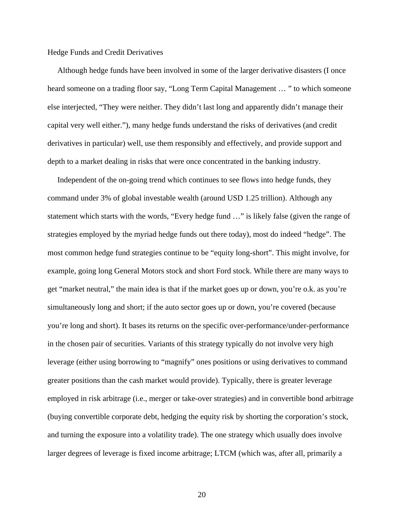Hedge Funds and Credit Derivatives

 Although hedge funds have been involved in some of the larger derivative disasters (I once heard someone on a trading floor say, "Long Term Capital Management … " to which someone else interjected, "They were neither. They didn't last long and apparently didn't manage their capital very well either."), many hedge funds understand the risks of derivatives (and credit derivatives in particular) well, use them responsibly and effectively, and provide support and depth to a market dealing in risks that were once concentrated in the banking industry.

 Independent of the on-going trend which continues to see flows into hedge funds, they command under 3% of global investable wealth (around USD 1.25 trillion). Although any statement which starts with the words, "Every hedge fund …" is likely false (given the range of strategies employed by the myriad hedge funds out there today), most do indeed "hedge". The most common hedge fund strategies continue to be "equity long-short". This might involve, for example, going long General Motors stock and short Ford stock. While there are many ways to get "market neutral," the main idea is that if the market goes up or down, you're o.k. as you're simultaneously long and short; if the auto sector goes up or down, you're covered (because you're long and short). It bases its returns on the specific over-performance/under-performance in the chosen pair of securities. Variants of this strategy typically do not involve very high leverage (either using borrowing to "magnify" ones positions or using derivatives to command greater positions than the cash market would provide). Typically, there is greater leverage employed in risk arbitrage (i.e., merger or take-over strategies) and in convertible bond arbitrage (buying convertible corporate debt, hedging the equity risk by shorting the corporation's stock, and turning the exposure into a volatility trade). The one strategy which usually does involve larger degrees of leverage is fixed income arbitrage; LTCM (which was, after all, primarily a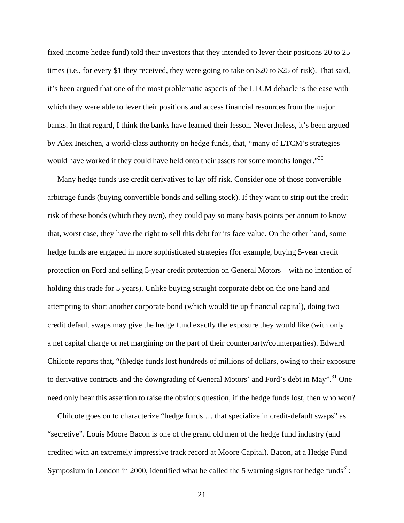fixed income hedge fund) told their investors that they intended to lever their positions 20 to 25 times (i.e., for every \$1 they received, they were going to take on \$20 to \$25 of risk). That said, it's been argued that one of the most problematic aspects of the LTCM debacle is the ease with which they were able to lever their positions and access financial resources from the major banks. In that regard, I think the banks have learned their lesson. Nevertheless, it's been argued by Alex Ineichen, a world-class authority on hedge funds, that, "many of LTCM's strategies would have worked if they could have held onto their assets for some months longer."<sup>30</sup>

 Many hedge funds use credit derivatives to lay off risk. Consider one of those convertible arbitrage funds (buying convertible bonds and selling stock). If they want to strip out the credit risk of these bonds (which they own), they could pay so many basis points per annum to know that, worst case, they have the right to sell this debt for its face value. On the other hand, some hedge funds are engaged in more sophisticated strategies (for example, buying 5-year credit protection on Ford and selling 5-year credit protection on General Motors – with no intention of holding this trade for 5 years). Unlike buying straight corporate debt on the one hand and attempting to short another corporate bond (which would tie up financial capital), doing two credit default swaps may give the hedge fund exactly the exposure they would like (with only a net capital charge or net margining on the part of their counterparty/counterparties). Edward Chilcote reports that, "(h)edge funds lost hundreds of millions of dollars, owing to their exposure to derivative contracts and the downgrading of General Motors' and Ford's debt in May".<sup>31</sup> One need only hear this assertion to raise the obvious question, if the hedge funds lost, then who won?

 Chilcote goes on to characterize "hedge funds … that specialize in credit-default swaps" as "secretive". Louis Moore Bacon is one of the grand old men of the hedge fund industry (and credited with an extremely impressive track record at Moore Capital). Bacon, at a Hedge Fund Symposium in London in 2000, identified what he called the 5 warning signs for hedge funds<sup>32</sup>: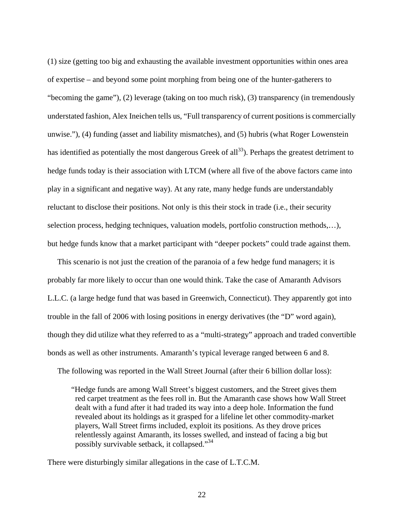(1) size (getting too big and exhausting the available investment opportunities within ones area of expertise – and beyond some point morphing from being one of the hunter-gatherers to "becoming the game"), (2) leverage (taking on too much risk), (3) transparency (in tremendously understated fashion, Alex Ineichen tells us, "Full transparency of current positions is commercially unwise."), (4) funding (asset and liability mismatches), and (5) hubris (what Roger Lowenstein has identified as potentially the most dangerous Greek of all<sup>33</sup>). Perhaps the greatest detriment to hedge funds today is their association with LTCM (where all five of the above factors came into play in a significant and negative way). At any rate, many hedge funds are understandably reluctant to disclose their positions. Not only is this their stock in trade (i.e., their security selection process, hedging techniques, valuation models, portfolio construction methods,…), but hedge funds know that a market participant with "deeper pockets" could trade against them.

 This scenario is not just the creation of the paranoia of a few hedge fund managers; it is probably far more likely to occur than one would think. Take the case of Amaranth Advisors L.L.C. (a large hedge fund that was based in Greenwich, Connecticut). They apparently got into trouble in the fall of 2006 with losing positions in energy derivatives (the "D" word again), though they did utilize what they referred to as a "multi-strategy" approach and traded convertible bonds as well as other instruments. Amaranth's typical leverage ranged between 6 and 8.

The following was reported in the Wall Street Journal (after their 6 billion dollar loss):

 "Hedge funds are among Wall Street's biggest customers, and the Street gives them red carpet treatment as the fees roll in. But the Amaranth case shows how Wall Street dealt with a fund after it had traded its way into a deep hole. Information the fund revealed about its holdings as it grasped for a lifeline let other commodity-market players, Wall Street firms included, exploit its positions. As they drove prices relentlessly against Amaranth, its losses swelled, and instead of facing a big but possibly survivable setback, it collapsed."34

There were disturbingly similar allegations in the case of L.T.C.M.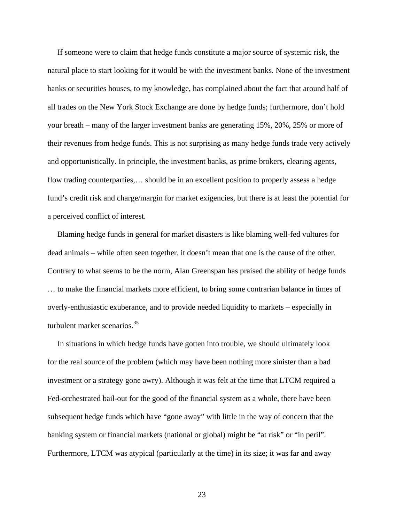If someone were to claim that hedge funds constitute a major source of systemic risk, the natural place to start looking for it would be with the investment banks. None of the investment banks or securities houses, to my knowledge, has complained about the fact that around half of all trades on the New York Stock Exchange are done by hedge funds; furthermore, don't hold your breath – many of the larger investment banks are generating 15%, 20%, 25% or more of their revenues from hedge funds. This is not surprising as many hedge funds trade very actively and opportunistically. In principle, the investment banks, as prime brokers, clearing agents, flow trading counterparties,… should be in an excellent position to properly assess a hedge fund's credit risk and charge/margin for market exigencies, but there is at least the potential for a perceived conflict of interest.

 Blaming hedge funds in general for market disasters is like blaming well-fed vultures for dead animals – while often seen together, it doesn't mean that one is the cause of the other. Contrary to what seems to be the norm, Alan Greenspan has praised the ability of hedge funds … to make the financial markets more efficient, to bring some contrarian balance in times of overly-enthusiastic exuberance, and to provide needed liquidity to markets – especially in turbulent market scenarios.<sup>35</sup>

 In situations in which hedge funds have gotten into trouble, we should ultimately look for the real source of the problem (which may have been nothing more sinister than a bad investment or a strategy gone awry). Although it was felt at the time that LTCM required a Fed-orchestrated bail-out for the good of the financial system as a whole, there have been subsequent hedge funds which have "gone away" with little in the way of concern that the banking system or financial markets (national or global) might be "at risk" or "in peril". Furthermore, LTCM was atypical (particularly at the time) in its size; it was far and away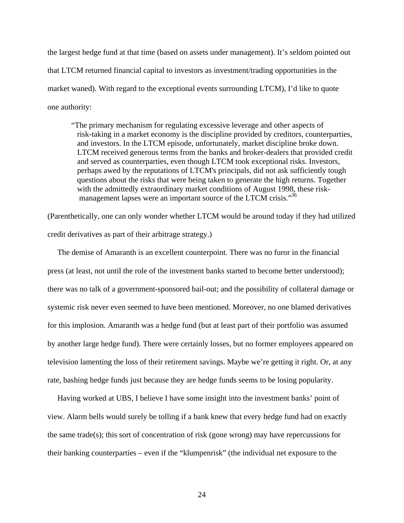the largest hedge fund at that time (based on assets under management). It's seldom pointed out that LTCM returned financial capital to investors as investment/trading opportunities in the market waned). With regard to the exceptional events surrounding LTCM), I'd like to quote one authority:

 "The primary mechanism for regulating excessive leverage and other aspects of risk-taking in a market economy is the discipline provided by creditors, counterparties, and investors. In the LTCM episode, unfortunately, market discipline broke down. LTCM received generous terms from the banks and broker-dealers that provided credit and served as counterparties, even though LTCM took exceptional risks. Investors, perhaps awed by the reputations of LTCM's principals, did not ask sufficiently tough questions about the risks that were being taken to generate the high returns. Together with the admittedly extraordinary market conditions of August 1998, these risk management lapses were an important source of the LTCM crisis."<sup>36</sup>

(Parenthetically, one can only wonder whether LTCM would be around today if they had utilized credit derivatives as part of their arbitrage strategy.)

 The demise of Amaranth is an excellent counterpoint. There was no furor in the financial press (at least, not until the role of the investment banks started to become better understood); there was no talk of a government-sponsored bail-out; and the possibility of collateral damage or systemic risk never even seemed to have been mentioned. Moreover, no one blamed derivatives for this implosion. Amaranth was a hedge fund (but at least part of their portfolio was assumed by another large hedge fund). There were certainly losses, but no former employees appeared on television lamenting the loss of their retirement savings. Maybe we're getting it right. Or, at any rate, bashing hedge funds just because they are hedge funds seems to be losing popularity.

 Having worked at UBS, I believe I have some insight into the investment banks' point of view. Alarm bells would surely be tolling if a bank knew that every hedge fund had on exactly the same trade(s); this sort of concentration of risk (gone wrong) may have repercussions for their banking counterparties – even if the "klumpenrisk" (the individual net exposure to the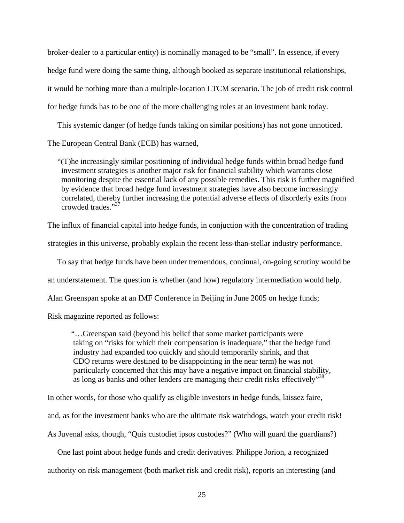broker-dealer to a particular entity) is nominally managed to be "small". In essence, if every hedge fund were doing the same thing, although booked as separate institutional relationships, it would be nothing more than a multiple-location LTCM scenario. The job of credit risk control for hedge funds has to be one of the more challenging roles at an investment bank today.

 This systemic danger (of hedge funds taking on similar positions) has not gone unnoticed. The European Central Bank (ECB) has warned,

 "(T)he increasingly similar positioning of individual hedge funds within broad hedge fund investment strategies is another major risk for financial stability which warrants close monitoring despite the essential lack of any possible remedies. This risk is further magnified by evidence that broad hedge fund investment strategies have also become increasingly correlated, thereby further increasing the potential adverse effects of disorderly exits from crowded trades."<sup>37</sup>

The influx of financial capital into hedge funds, in conjuction with the concentration of trading

strategies in this universe, probably explain the recent less-than-stellar industry performance.

To say that hedge funds have been under tremendous, continual, on-going scrutiny would be

an understatement. The question is whether (and how) regulatory intermediation would help.

Alan Greenspan spoke at an IMF Conference in Beijing in June 2005 on hedge funds;

Risk magazine reported as follows:

"…Greenspan said (beyond his belief that some market participants were taking on "risks for which their compensation is inadequate," that the hedge fund industry had expanded too quickly and should temporarily shrink, and that CDO returns were destined to be disappointing in the near term) he was not particularly concerned that this may have a negative impact on financial stability, as long as banks and other lenders are managing their credit risks effectively<sup>38</sup>

In other words, for those who qualify as eligible investors in hedge funds, laissez faire, and, as for the investment banks who are the ultimate risk watchdogs, watch your credit risk! As Juvenal asks, though, "Quis custodiet ipsos custodes?" (Who will guard the guardians?)

 One last point about hedge funds and credit derivatives. Philippe Jorion, a recognized authority on risk management (both market risk and credit risk), reports an interesting (and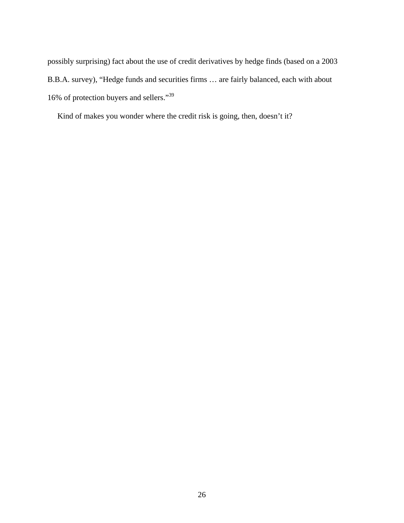possibly surprising) fact about the use of credit derivatives by hedge finds (based on a 2003 B.B.A. survey), "Hedge funds and securities firms … are fairly balanced, each with about 16% of protection buyers and sellers."39

Kind of makes you wonder where the credit risk is going, then, doesn't it?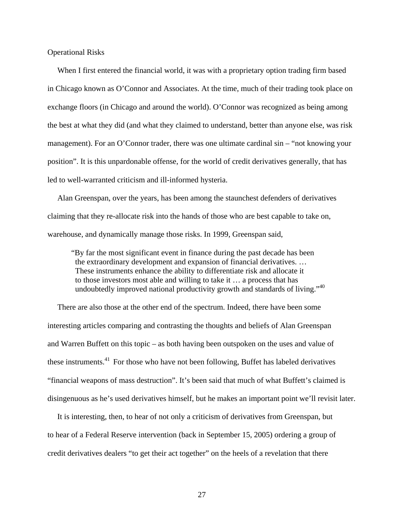Operational Risks

When I first entered the financial world, it was with a proprietary option trading firm based in Chicago known as O'Connor and Associates. At the time, much of their trading took place on exchange floors (in Chicago and around the world). O'Connor was recognized as being among the best at what they did (and what they claimed to understand, better than anyone else, was risk management). For an O'Connor trader, there was one ultimate cardinal sin – "not knowing your position". It is this unpardonable offense, for the world of credit derivatives generally, that has led to well-warranted criticism and ill-informed hysteria.

 Alan Greenspan, over the years, has been among the staunchest defenders of derivatives claiming that they re-allocate risk into the hands of those who are best capable to take on, warehouse, and dynamically manage those risks. In 1999, Greenspan said,

 "By far the most significant event in finance during the past decade has been the extraordinary development and expansion of financial derivatives. … These instruments enhance the ability to differentiate risk and allocate it to those investors most able and willing to take it … a process that has undoubtedly improved national productivity growth and standards of living."<sup>40</sup>

 There are also those at the other end of the spectrum. Indeed, there have been some interesting articles comparing and contrasting the thoughts and beliefs of Alan Greenspan and Warren Buffett on this topic – as both having been outspoken on the uses and value of these instruments.<sup>41</sup> For those who have not been following, Buffet has labeled derivatives "financial weapons of mass destruction". It's been said that much of what Buffett's claimed is disingenuous as he's used derivatives himself, but he makes an important point we'll revisit later.

 It is interesting, then, to hear of not only a criticism of derivatives from Greenspan, but to hear of a Federal Reserve intervention (back in September 15, 2005) ordering a group of credit derivatives dealers "to get their act together" on the heels of a revelation that there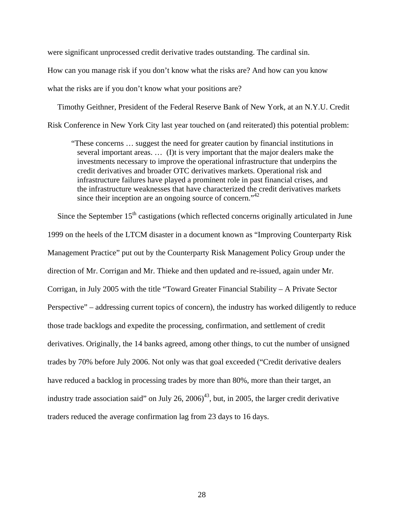were significant unprocessed credit derivative trades outstanding. The cardinal sin.

How can you manage risk if you don't know what the risks are? And how can you know what the risks are if you don't know what your positions are?

 Timothy Geithner, President of the Federal Reserve Bank of New York, at an N.Y.U. Credit Risk Conference in New York City last year touched on (and reiterated) this potential problem:

 "These concerns … suggest the need for greater caution by financial institutions in several important areas. … (I)t is very important that the major dealers make the investments necessary to improve the operational infrastructure that underpins the credit derivatives and broader OTC derivatives markets. Operational risk and infrastructure failures have played a prominent role in past financial crises, and the infrastructure weaknesses that have characterized the credit derivatives markets since their inception are an ongoing source of concern."<sup>42</sup>

Since the September  $15<sup>th</sup>$  castigations (which reflected concerns originally articulated in June 1999 on the heels of the LTCM disaster in a document known as "Improving Counterparty Risk Management Practice" put out by the Counterparty Risk Management Policy Group under the direction of Mr. Corrigan and Mr. Thieke and then updated and re-issued, again under Mr. Corrigan, in July 2005 with the title "Toward Greater Financial Stability – A Private Sector Perspective" – addressing current topics of concern), the industry has worked diligently to reduce those trade backlogs and expedite the processing, confirmation, and settlement of credit derivatives. Originally, the 14 banks agreed, among other things, to cut the number of unsigned trades by 70% before July 2006. Not only was that goal exceeded ("Credit derivative dealers have reduced a backlog in processing trades by more than 80%, more than their target, an industry trade association said" on July 26,  $2006$ <sup>43</sup>, but, in 2005, the larger credit derivative traders reduced the average confirmation lag from 23 days to 16 days.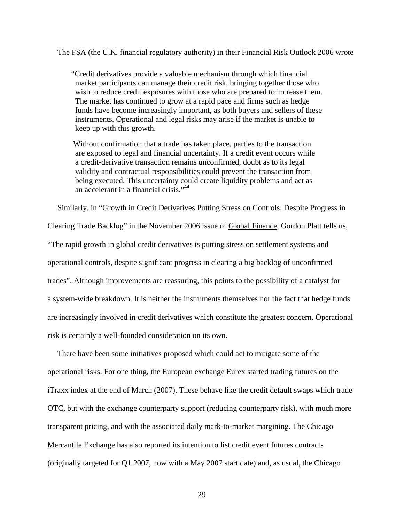The FSA (the U.K. financial regulatory authority) in their Financial Risk Outlook 2006 wrote

"Credit derivatives provide a valuable mechanism through which financial market participants can manage their credit risk, bringing together those who wish to reduce credit exposures with those who are prepared to increase them. The market has continued to grow at a rapid pace and firms such as hedge funds have become increasingly important, as both buyers and sellers of these instruments. Operational and legal risks may arise if the market is unable to keep up with this growth.

 Without confirmation that a trade has taken place, parties to the transaction are exposed to legal and financial uncertainty. If a credit event occurs while a credit-derivative transaction remains unconfirmed, doubt as to its legal validity and contractual responsibilities could prevent the transaction from being executed. This uncertainty could create liquidity problems and act as an accelerant in a financial crisis."<sup>44</sup>

Similarly, in "Growth in Credit Derivatives Putting Stress on Controls, Despite Progress in

Clearing Trade Backlog" in the November 2006 issue of Global Finance, Gordon Platt tells us, "The rapid growth in global credit derivatives is putting stress on settlement systems and operational controls, despite significant progress in clearing a big backlog of unconfirmed trades". Although improvements are reassuring, this points to the possibility of a catalyst for a system-wide breakdown. It is neither the instruments themselves nor the fact that hedge funds are increasingly involved in credit derivatives which constitute the greatest concern. Operational risk is certainly a well-founded consideration on its own.

 There have been some initiatives proposed which could act to mitigate some of the operational risks. For one thing, the European exchange Eurex started trading futures on the iTraxx index at the end of March (2007). These behave like the credit default swaps which trade OTC, but with the exchange counterparty support (reducing counterparty risk), with much more transparent pricing, and with the associated daily mark-to-market margining. The Chicago Mercantile Exchange has also reported its intention to list credit event futures contracts (originally targeted for Q1 2007, now with a May 2007 start date) and, as usual, the Chicago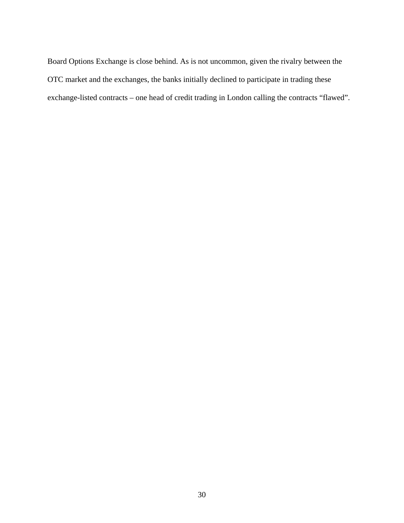Board Options Exchange is close behind. As is not uncommon, given the rivalry between the OTC market and the exchanges, the banks initially declined to participate in trading these exchange-listed contracts – one head of credit trading in London calling the contracts "flawed".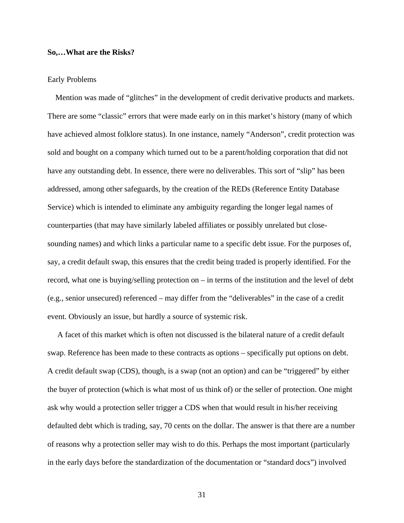## **So,…What are the Risks?**

### Early Problems

 Mention was made of "glitches" in the development of credit derivative products and markets. There are some "classic" errors that were made early on in this market's history (many of which have achieved almost folklore status). In one instance, namely "Anderson", credit protection was sold and bought on a company which turned out to be a parent/holding corporation that did not have any outstanding debt. In essence, there were no deliverables. This sort of "slip" has been addressed, among other safeguards, by the creation of the REDs (Reference Entity Database Service) which is intended to eliminate any ambiguity regarding the longer legal names of counterparties (that may have similarly labeled affiliates or possibly unrelated but closesounding names) and which links a particular name to a specific debt issue. For the purposes of, say, a credit default swap, this ensures that the credit being traded is properly identified. For the record, what one is buying/selling protection on – in terms of the institution and the level of debt (e.g., senior unsecured) referenced – may differ from the "deliverables" in the case of a credit event. Obviously an issue, but hardly a source of systemic risk.

 A facet of this market which is often not discussed is the bilateral nature of a credit default swap. Reference has been made to these contracts as options – specifically put options on debt. A credit default swap (CDS), though, is a swap (not an option) and can be "triggered" by either the buyer of protection (which is what most of us think of) or the seller of protection. One might ask why would a protection seller trigger a CDS when that would result in his/her receiving defaulted debt which is trading, say, 70 cents on the dollar. The answer is that there are a number of reasons why a protection seller may wish to do this. Perhaps the most important (particularly in the early days before the standardization of the documentation or "standard docs") involved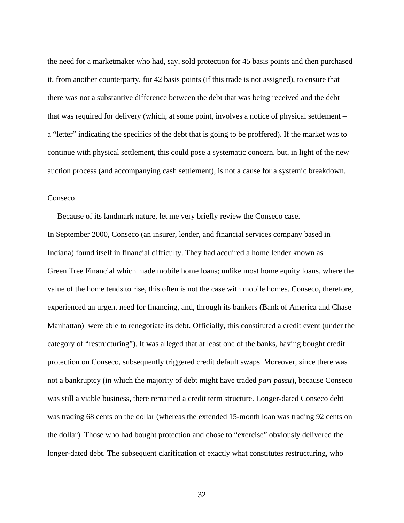the need for a marketmaker who had, say, sold protection for 45 basis points and then purchased it, from another counterparty, for 42 basis points (if this trade is not assigned), to ensure that there was not a substantive difference between the debt that was being received and the debt that was required for delivery (which, at some point, involves a notice of physical settlement – a "letter" indicating the specifics of the debt that is going to be proffered). If the market was to continue with physical settlement, this could pose a systematic concern, but, in light of the new auction process (and accompanying cash settlement), is not a cause for a systemic breakdown.

### Conseco

 Because of its landmark nature, let me very briefly review the Conseco case. In September 2000, Conseco (an insurer, lender, and financial services company based in Indiana) found itself in financial difficulty. They had acquired a home lender known as Green Tree Financial which made mobile home loans; unlike most home equity loans, where the value of the home tends to rise, this often is not the case with mobile homes. Conseco, therefore, experienced an urgent need for financing, and, through its bankers (Bank of America and Chase Manhattan) were able to renegotiate its debt. Officially, this constituted a credit event (under the category of "restructuring"). It was alleged that at least one of the banks, having bought credit protection on Conseco, subsequently triggered credit default swaps. Moreover, since there was not a bankruptcy (in which the majority of debt might have traded *pari passu*), because Conseco was still a viable business, there remained a credit term structure. Longer-dated Conseco debt was trading 68 cents on the dollar (whereas the extended 15-month loan was trading 92 cents on the dollar). Those who had bought protection and chose to "exercise" obviously delivered the longer-dated debt. The subsequent clarification of exactly what constitutes restructuring, who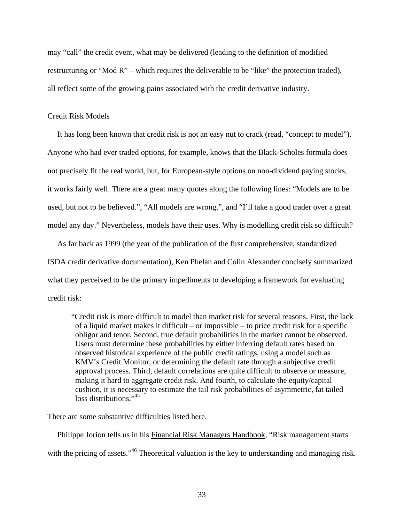may "call" the credit event, what may be delivered (leading to the definition of modified restructuring or "Mod R" – which requires the deliverable to be "like" the protection traded), all reflect some of the growing pains associated with the credit derivative industry.

## Credit Risk Models

 It has long been known that credit risk is not an easy nut to crack (read, "concept to model"). Anyone who had ever traded options, for example, knows that the Black-Scholes formula does not precisely fit the real world, but, for European-style options on non-dividend paying stocks, it works fairly well. There are a great many quotes along the following lines: "Models are to be used, but not to be believed.", "All models are wrong.", and "I'll take a good trader over a great model any day." Nevertheless, models have their uses. Why is modelling credit risk so difficult?

 As far back as 1999 (the year of the publication of the first comprehensive, standardized ISDA credit derivative documentation), Ken Phelan and Colin Alexander concisely summarized what they perceived to be the primary impediments to developing a framework for evaluating credit risk:

 "Credit risk is more difficult to model than market risk for several reasons. First, the lack of a liquid market makes it difficult – or impossible – to price credit risk for a specific obligor and tenor. Second, true default probabilities in the market cannot be observed. Users must determine these probabilities by either inferring default rates based on observed historical experience of the public credit ratings, using a model such as KMV's Credit Monitor, or determining the default rate through a subjective credit approval process. Third, default correlations are quite difficult to observe or measure, making it hard to aggregate credit risk. And fourth, to calculate the equity/capital cushion, it is necessary to estimate the tail risk probabilities of asymmetric, fat tailed loss distributions."<sup>45</sup>

There are some substantive difficulties listed here.

 Philippe Jorion tells us in his Financial Risk Managers Handbook, "Risk management starts with the pricing of assets."<sup>46</sup> Theoretical valuation is the key to understanding and managing risk.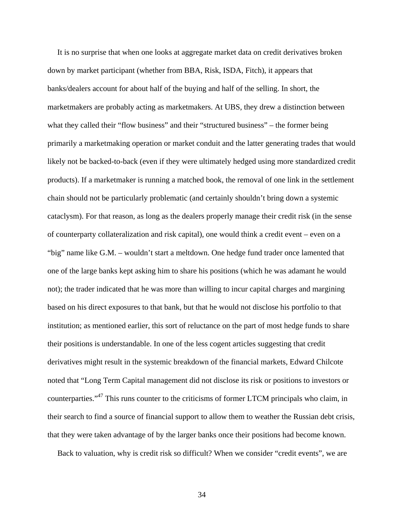It is no surprise that when one looks at aggregate market data on credit derivatives broken down by market participant (whether from BBA, Risk, ISDA, Fitch), it appears that banks/dealers account for about half of the buying and half of the selling. In short, the marketmakers are probably acting as marketmakers. At UBS, they drew a distinction between what they called their "flow business" and their "structured business" – the former being primarily a marketmaking operation or market conduit and the latter generating trades that would likely not be backed-to-back (even if they were ultimately hedged using more standardized credit products). If a marketmaker is running a matched book, the removal of one link in the settlement chain should not be particularly problematic (and certainly shouldn't bring down a systemic cataclysm). For that reason, as long as the dealers properly manage their credit risk (in the sense of counterparty collateralization and risk capital), one would think a credit event – even on a "big" name like G.M. – wouldn't start a meltdown. One hedge fund trader once lamented that one of the large banks kept asking him to share his positions (which he was adamant he would not); the trader indicated that he was more than willing to incur capital charges and margining based on his direct exposures to that bank, but that he would not disclose his portfolio to that institution; as mentioned earlier, this sort of reluctance on the part of most hedge funds to share their positions is understandable. In one of the less cogent articles suggesting that credit derivatives might result in the systemic breakdown of the financial markets, Edward Chilcote noted that "Long Term Capital management did not disclose its risk or positions to investors or counterparties."47 This runs counter to the criticisms of former LTCM principals who claim, in their search to find a source of financial support to allow them to weather the Russian debt crisis, that they were taken advantage of by the larger banks once their positions had become known.

Back to valuation, why is credit risk so difficult? When we consider "credit events", we are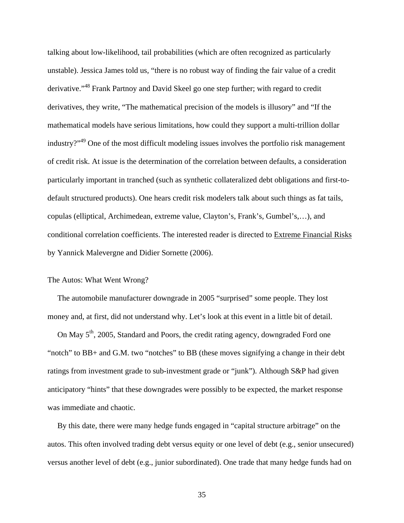talking about low-likelihood, tail probabilities (which are often recognized as particularly unstable). Jessica James told us, "there is no robust way of finding the fair value of a credit derivative."<sup>48</sup> Frank Partnoy and David Skeel go one step further; with regard to credit derivatives, they write, "The mathematical precision of the models is illusory" and "If the mathematical models have serious limitations, how could they support a multi-trillion dollar industry?"49 One of the most difficult modeling issues involves the portfolio risk management of credit risk. At issue is the determination of the correlation between defaults, a consideration particularly important in tranched (such as synthetic collateralized debt obligations and first-todefault structured products). One hears credit risk modelers talk about such things as fat tails, copulas (elliptical, Archimedean, extreme value, Clayton's, Frank's, Gumbel's,…), and conditional correlation coefficients. The interested reader is directed to Extreme Financial Risks by Yannick Malevergne and Didier Sornette (2006).

#### The Autos: What Went Wrong?

 The automobile manufacturer downgrade in 2005 "surprised" some people. They lost money and, at first, did not understand why. Let's look at this event in a little bit of detail.

On May  $5<sup>th</sup>$ , 2005, Standard and Poors, the credit rating agency, downgraded Ford one "notch" to BB+ and G.M. two "notches" to BB (these moves signifying a change in their debt ratings from investment grade to sub-investment grade or "junk"). Although S&P had given anticipatory "hints" that these downgrades were possibly to be expected, the market response was immediate and chaotic.

 By this date, there were many hedge funds engaged in "capital structure arbitrage" on the autos. This often involved trading debt versus equity or one level of debt (e.g., senior unsecured) versus another level of debt (e.g., junior subordinated). One trade that many hedge funds had on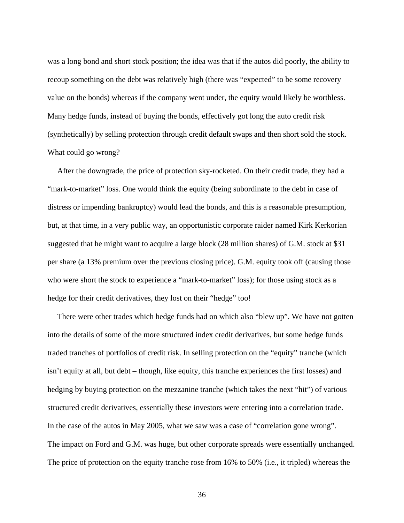was a long bond and short stock position; the idea was that if the autos did poorly, the ability to recoup something on the debt was relatively high (there was "expected" to be some recovery value on the bonds) whereas if the company went under, the equity would likely be worthless. Many hedge funds, instead of buying the bonds, effectively got long the auto credit risk (synthetically) by selling protection through credit default swaps and then short sold the stock. What could go wrong?

 After the downgrade, the price of protection sky-rocketed. On their credit trade, they had a "mark-to-market" loss. One would think the equity (being subordinate to the debt in case of distress or impending bankruptcy) would lead the bonds, and this is a reasonable presumption, but, at that time, in a very public way, an opportunistic corporate raider named Kirk Kerkorian suggested that he might want to acquire a large block (28 million shares) of G.M. stock at \$31 per share (a 13% premium over the previous closing price). G.M. equity took off (causing those who were short the stock to experience a "mark-to-market" loss); for those using stock as a hedge for their credit derivatives, they lost on their "hedge" too!

 There were other trades which hedge funds had on which also "blew up". We have not gotten into the details of some of the more structured index credit derivatives, but some hedge funds traded tranches of portfolios of credit risk. In selling protection on the "equity" tranche (which isn't equity at all, but debt – though, like equity, this tranche experiences the first losses) and hedging by buying protection on the mezzanine tranche (which takes the next "hit") of various structured credit derivatives, essentially these investors were entering into a correlation trade. In the case of the autos in May 2005, what we saw was a case of "correlation gone wrong". The impact on Ford and G.M. was huge, but other corporate spreads were essentially unchanged. The price of protection on the equity tranche rose from 16% to 50% (i.e., it tripled) whereas the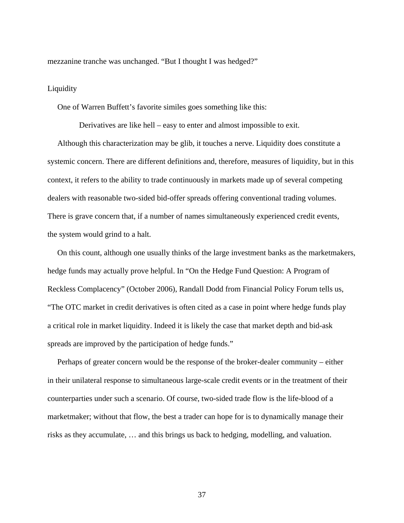mezzanine tranche was unchanged. "But I thought I was hedged?"

### **Liquidity**

One of Warren Buffett's favorite similes goes something like this:

Derivatives are like hell – easy to enter and almost impossible to exit.

 Although this characterization may be glib, it touches a nerve. Liquidity does constitute a systemic concern. There are different definitions and, therefore, measures of liquidity, but in this context, it refers to the ability to trade continuously in markets made up of several competing dealers with reasonable two-sided bid-offer spreads offering conventional trading volumes. There is grave concern that, if a number of names simultaneously experienced credit events, the system would grind to a halt.

 On this count, although one usually thinks of the large investment banks as the marketmakers, hedge funds may actually prove helpful. In "On the Hedge Fund Question: A Program of Reckless Complacency" (October 2006), Randall Dodd from Financial Policy Forum tells us, "The OTC market in credit derivatives is often cited as a case in point where hedge funds play a critical role in market liquidity. Indeed it is likely the case that market depth and bid-ask spreads are improved by the participation of hedge funds."

 Perhaps of greater concern would be the response of the broker-dealer community – either in their unilateral response to simultaneous large-scale credit events or in the treatment of their counterparties under such a scenario. Of course, two-sided trade flow is the life-blood of a marketmaker; without that flow, the best a trader can hope for is to dynamically manage their risks as they accumulate, … and this brings us back to hedging, modelling, and valuation.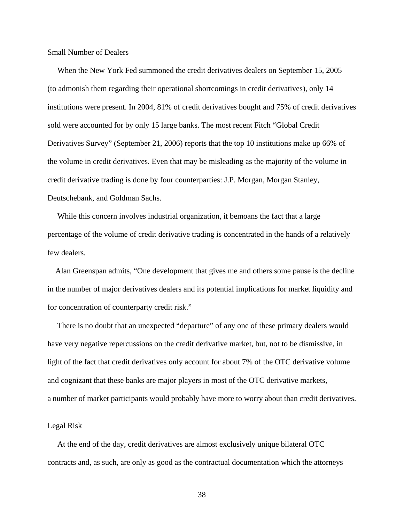Small Number of Dealers

 When the New York Fed summoned the credit derivatives dealers on September 15, 2005 (to admonish them regarding their operational shortcomings in credit derivatives), only 14 institutions were present. In 2004, 81% of credit derivatives bought and 75% of credit derivatives sold were accounted for by only 15 large banks. The most recent Fitch "Global Credit Derivatives Survey" (September 21, 2006) reports that the top 10 institutions make up 66% of the volume in credit derivatives. Even that may be misleading as the majority of the volume in credit derivative trading is done by four counterparties: J.P. Morgan, Morgan Stanley, Deutschebank, and Goldman Sachs.

 While this concern involves industrial organization, it bemoans the fact that a large percentage of the volume of credit derivative trading is concentrated in the hands of a relatively few dealers.

 Alan Greenspan admits, "One development that gives me and others some pause is the decline in the number of major derivatives dealers and its potential implications for market liquidity and for concentration of counterparty credit risk."

 There is no doubt that an unexpected "departure" of any one of these primary dealers would have very negative repercussions on the credit derivative market, but, not to be dismissive, in light of the fact that credit derivatives only account for about 7% of the OTC derivative volume and cognizant that these banks are major players in most of the OTC derivative markets, a number of market participants would probably have more to worry about than credit derivatives.

### Legal Risk

 At the end of the day, credit derivatives are almost exclusively unique bilateral OTC contracts and, as such, are only as good as the contractual documentation which the attorneys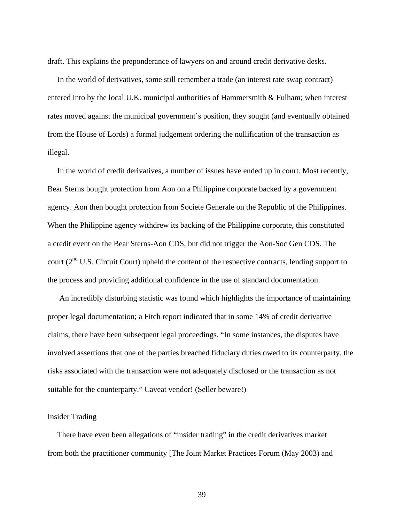draft. This explains the preponderance of lawyers on and around credit derivative desks.

 In the world of derivatives, some still remember a trade (an interest rate swap contract) entered into by the local U.K. municipal authorities of Hammersmith & Fulham; when interest rates moved against the municipal government's position, they sought (and eventually obtained from the House of Lords) a formal judgement ordering the nullification of the transaction as illegal.

 In the world of credit derivatives, a number of issues have ended up in court. Most recently, Bear Sterns bought protection from Aon on a Philippine corporate backed by a government agency. Aon then bought protection from Societe Generale on the Republic of the Philippines. When the Philippine agency withdrew its backing of the Philippine corporate, this constituted a credit event on the Bear Sterns-Aon CDS, but did not trigger the Aon-Soc Gen CDS. The court ( $2<sup>nd</sup>$  U.S. Circuit Court) upheld the content of the respective contracts, lending support to the process and providing additional confidence in the use of standard documentation.

 An incredibly disturbing statistic was found which highlights the importance of maintaining proper legal documentation; a Fitch report indicated that in some 14% of credit derivative claims, there have been subsequent legal proceedings. "In some instances, the disputes have involved assertions that one of the parties breached fiduciary duties owed to its counterparty, the risks associated with the transaction were not adequately disclosed or the transaction as not suitable for the counterparty." Caveat vendor! (Seller beware!)

#### Insider Trading

 There have even been allegations of "insider trading" in the credit derivatives market from both the practitioner community [The Joint Market Practices Forum (May 2003) and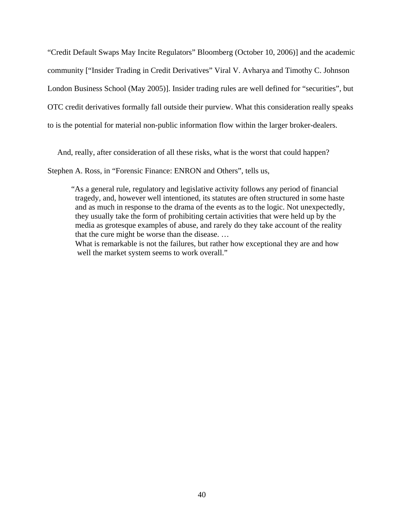"Credit Default Swaps May Incite Regulators" Bloomberg (October 10, 2006)] and the academic community ["Insider Trading in Credit Derivatives" Viral V. Avharya and Timothy C. Johnson London Business School (May 2005)]. Insider trading rules are well defined for "securities", but OTC credit derivatives formally fall outside their purview. What this consideration really speaks to is the potential for material non-public information flow within the larger broker-dealers.

And, really, after consideration of all these risks, what is the worst that could happen?

Stephen A. Ross, in "Forensic Finance: ENRON and Others", tells us,

 "As a general rule, regulatory and legislative activity follows any period of financial tragedy, and, however well intentioned, its statutes are often structured in some haste and as much in response to the drama of the events as to the logic. Not unexpectedly, they usually take the form of prohibiting certain activities that were held up by the media as grotesque examples of abuse, and rarely do they take account of the reality that the cure might be worse than the disease. …

 What is remarkable is not the failures, but rather how exceptional they are and how well the market system seems to work overall."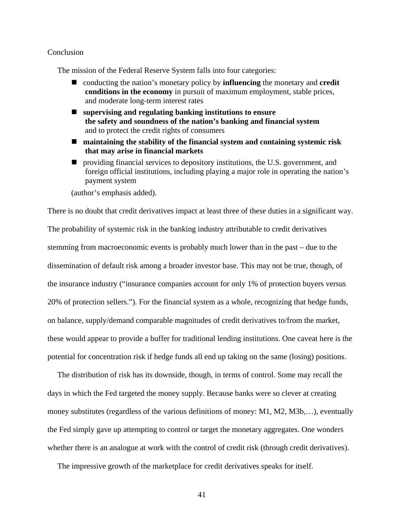#### **Conclusion**

The mission of the Federal Reserve System falls into four categories:

- conducting the nation's monetary policy by **influencing** the monetary and **credit conditions in the economy** in pursuit of maximum employment, stable prices, and moderate long-term interest rates
- **supervising and regulating banking institutions to ensure the safety and soundness of the nation's banking and financial system** and to protect the credit rights of consumers
- **maintaining the stability of the financial system and containing systemic risk that may arise in financial markets**
- providing financial services to depository institutions, the U.S. government, and foreign official institutions, including playing a major role in operating the nation's payment system

(author's emphasis added).

There is no doubt that credit derivatives impact at least three of these duties in a significant way. The probability of systemic risk in the banking industry attributable to credit derivatives stemming from macroeconomic events is probably much lower than in the past – due to the dissemination of default risk among a broader investor base. This may not be true, though, of the insurance industry ("insurance companies account for only 1% of protection buyers versus 20% of protection sellers."). For the financial system as a whole, recognizing that hedge funds, on balance, supply/demand comparable magnitudes of credit derivatives to/from the market, these would appear to provide a buffer for traditional lending institutions. One caveat here is the potential for concentration risk if hedge funds all end up taking on the same (losing) positions.

 The distribution of risk has its downside, though, in terms of control. Some may recall the days in which the Fed targeted the money supply. Because banks were so clever at creating money substitutes (regardless of the various definitions of money: M1, M2, M3b,…), eventually the Fed simply gave up attempting to control or target the monetary aggregates. One wonders whether there is an analogue at work with the control of credit risk (through credit derivatives).

The impressive growth of the marketplace for credit derivatives speaks for itself.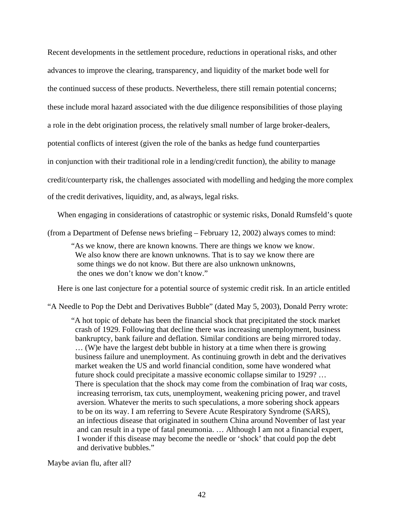Recent developments in the settlement procedure, reductions in operational risks, and other advances to improve the clearing, transparency, and liquidity of the market bode well for the continued success of these products. Nevertheless, there still remain potential concerns; these include moral hazard associated with the due diligence responsibilities of those playing a role in the debt origination process, the relatively small number of large broker-dealers, potential conflicts of interest (given the role of the banks as hedge fund counterparties in conjunction with their traditional role in a lending/credit function), the ability to manage credit/counterparty risk, the challenges associated with modelling and hedging the more complex of the credit derivatives, liquidity, and, as always, legal risks.

When engaging in considerations of catastrophic or systemic risks, Donald Rumsfeld's quote

(from a Department of Defense news briefing – February 12, 2002) always comes to mind:

 "As we know, there are known knowns. There are things we know we know. We also know there are known unknowns. That is to say we know there are some things we do not know. But there are also unknown unknowns, the ones we don't know we don't know."

Here is one last conjecture for a potential source of systemic credit risk. In an article entitled

"A Needle to Pop the Debt and Derivatives Bubble" (dated May 5, 2003), Donald Perry wrote:

 "A hot topic of debate has been the financial shock that precipitated the stock market crash of 1929. Following that decline there was increasing unemployment, business bankruptcy, bank failure and deflation. Similar conditions are being mirrored today. … (W)e have the largest debt bubble in history at a time when there is growing business failure and unemployment. As continuing growth in debt and the derivatives market weaken the US and world financial condition, some have wondered what future shock could precipitate a massive economic collapse similar to 1929? … There is speculation that the shock may come from the combination of Iraq war costs, increasing terrorism, tax cuts, unemployment, weakening pricing power, and travel aversion. Whatever the merits to such speculations, a more sobering shock appears to be on its way. I am referring to Severe Acute Respiratory Syndrome (SARS), an infectious disease that originated in southern China around November of last year and can result in a type of fatal pneumonia. … Although I am not a financial expert, I wonder if this disease may become the needle or 'shock' that could pop the debt and derivative bubbles."

Maybe avian flu, after all?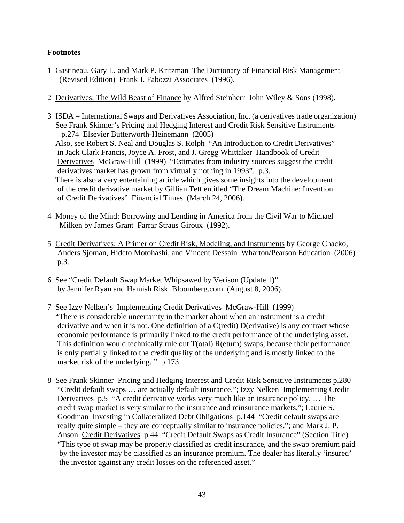# **Footnotes**

- 1 Gastineau, Gary L. and Mark P. Kritzman The Dictionary of Financial Risk Management (Revised Edition) Frank J. Fabozzi Associates (1996).
- 2 Derivatives: The Wild Beast of Finance by Alfred Steinherr John Wiley & Sons (1998).
- 3 ISDA = International Swaps and Derivatives Association, Inc. (a derivatives trade organization) See Frank Skinner's Pricing and Hedging Interest and Credit Risk Sensitive Instruments p.274 Elsevier Butterworth-Heinemann (2005) Also, see Robert S. Neal and Douglas S. Rolph "An Introduction to Credit Derivatives" in Jack Clark Francis, Joyce A. Frost, and J. Gregg Whittaker Handbook of Credit Derivatives McGraw-Hill (1999) "Estimates from industry sources suggest the credit derivatives market has grown from virtually nothing in 1993". p.3. There is also a very entertaining article which gives some insights into the development of the credit derivative market by Gillian Tett entitled "The Dream Machine: Invention of Credit Derivatives" Financial Times (March 24, 2006).
- 4 Money of the Mind: Borrowing and Lending in America from the Civil War to Michael Milken by James Grant Farrar Straus Giroux (1992).
- 5 Credit Derivatives: A Primer on Credit Risk, Modeling, and Instruments by George Chacko, Anders Sjoman, Hideto Motohashi, and Vincent Dessain Wharton/Pearson Education (2006) p.3.
- 6 See "Credit Default Swap Market Whipsawed by Verison (Update 1)" by Jennifer Ryan and Hamish Risk Bloomberg.com (August 8, 2006).
- 7 See Izzy Nelken's Implementing Credit Derivatives McGraw-Hill (1999) "There is considerable uncertainty in the market about when an instrument is a credit derivative and when it is not. One definition of a C(redit) D(erivative) is any contract whose economic performance is primarily linked to the credit performance of the underlying asset. This definition would technically rule out T(otal) R(eturn) swaps, because their performance is only partially linked to the credit quality of the underlying and is mostly linked to the market risk of the underlying. " p.173.
- 8 See Frank Skinner Pricing and Hedging Interest and Credit Risk Sensitive Instruments p.280 "Credit default swaps … are actually default insurance."; Izzy Nelken Implementing Credit Derivatives p.5 "A credit derivative works very much like an insurance policy. … The credit swap market is very similar to the insurance and reinsurance markets."; Laurie S. Goodman Investing in Collateralized Debt Obligations p.144 "Credit default swaps are really quite simple – they are conceptually similar to insurance policies."; and Mark J. P. Anson Credit Derivatives p.44 "Credit Default Swaps as Credit Insurance" (Section Title) "This type of swap may be properly classified as credit insurance, and the swap premium paid by the investor may be classified as an insurance premium. The dealer has literally 'insured' the investor against any credit losses on the referenced asset."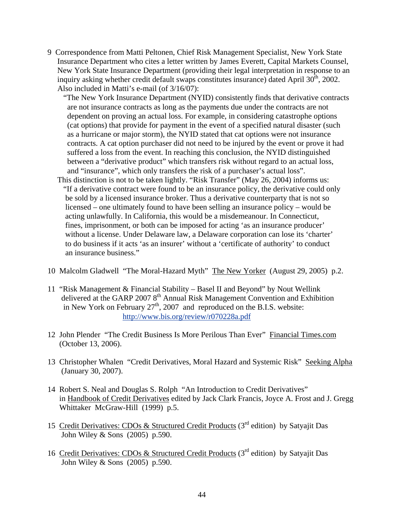9 Correspondence from Matti Peltonen, Chief Risk Management Specialist, New York State Insurance Department who cites a letter written by James Everett, Capital Markets Counsel, New York State Insurance Department (providing their legal interpretation in response to an inquiry asking whether credit default swaps constitutes insurance) dated April  $30<sup>th</sup>$ , 2002. Also included in Matti's e-mail (of 3/16/07):

 "The New York Insurance Department (NYID) consistently finds that derivative contracts are not insurance contracts as long as the payments due under the contracts are not dependent on proving an actual loss. For example, in considering catastrophe options (cat options) that provide for payment in the event of a specified natural disaster (such as a hurricane or major storm), the NYID stated that cat options were not insurance contracts. A cat option purchaser did not need to be injured by the event or prove it had suffered a loss from the event. In reaching this conclusion, the NYID distinguished between a "derivative product" which transfers risk without regard to an actual loss, and "insurance", which only transfers the risk of a purchaser's actual loss".

- This distinction is not to be taken lightly. "Risk Transfer" (May 26, 2004) informs us: "If a derivative contract were found to be an insurance policy, the derivative could only be sold by a licensed insurance broker. Thus a derivative counterparty that is not so licensed – one ultimately found to have been selling an insurance policy – would be acting unlawfully. In California, this would be a misdemeanour. In Connecticut, fines, imprisonment, or both can be imposed for acting 'as an insurance producer' without a license. Under Delaware law, a Delaware corporation can lose its 'charter' to do business if it acts 'as an insurer' without a 'certificate of authority' to conduct an insurance business."
- 10 Malcolm Gladwell "The Moral-Hazard Myth" The New Yorker (August 29, 2005) p.2.
- 11 "Risk Management & Financial Stability Basel II and Beyond" by Nout Wellink delivered at the GARP 2007  $8<sup>th</sup>$  Annual Risk Management Convention and Exhibition in New York on February  $27<sup>th</sup>$ , 2007 and reproduced on the B.I.S. website: http://www.bis.org/review/r070228a.pdf
- 12 John Plender "The Credit Business Is More Perilous Than Ever" Financial Times.com (October 13, 2006).
- 13 Christopher Whalen "Credit Derivatives, Moral Hazard and Systemic Risk" Seeking Alpha (January 30, 2007).
- 14 Robert S. Neal and Douglas S. Rolph "An Introduction to Credit Derivatives" in Handbook of Credit Derivatives edited by Jack Clark Francis, Joyce A. Frost and J. Gregg Whittaker McGraw-Hill (1999) p.5.
- 15 Credit Derivatives: CDOs & Structured Credit Products (3rd edition) by Satyajit Das John Wiley & Sons (2005) p.590.
- 16 Credit Derivatives: CDOs & Structured Credit Products (3rd edition) by Satyajit Das John Wiley & Sons (2005) p.590.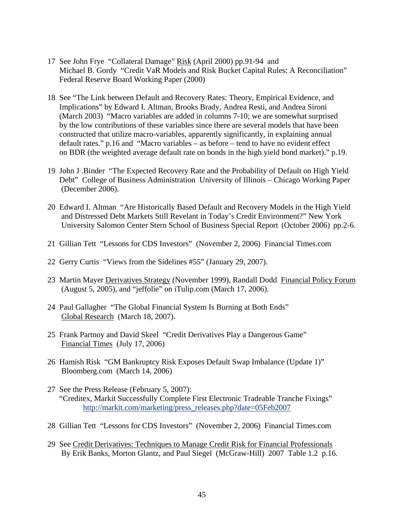- 17 See John Frye "Collateral Damage" Risk (April 2000) pp.91-94 and Michael B. Gordy "Credit VaR Models and Risk Bucket Capital Rules: A Reconciliation" Federal Reserve Board Working Paper (2000)
- 18 See "The Link between Default and Recovery Rates: Theory, Empirical Evidence, and Implications" by Edward I. Altman, Brooks Brady, Andrea Resti, and Andrea Sironi (March 2003) "Macro variables are added in columns 7-10; we are somewhat surprised by the low contributions of these variables since there are several models that have been constructed that utilize macro-variables, apparently significantly, in explaining annual default rates." p.16 and "Macro variables – as before – tend to have no evident effect on BDR (the weighted average default rate on bonds in the high yield bond market)." p.19.
- 19 John J .Binder "The Expected Recovery Rate and the Probability of Default on High Yield Debt" College of Business Administration University of Illinois – Chicago Working Paper (December 2006).
- 20 Edward I. Altman "Are Historically Based Default and Recovery Models in the High Yield and Distressed Debt Markets Still Revelant in Today's Credit Environment?" New York University Salomon Center Stern School of Business Special Report (October 2006) pp.2-6.
- 21 Gillian Tett "Lessons for CDS Investors" (November 2, 2006) Financial Times.com
- 22 Gerry Curtis "Views from the Sidelines #55" (January 29, 2007).
- 23 Martin Mayer Derivatives Strategy (November 1999), Randall Dodd Financial Policy Forum (August 5, 2005), and "jeffolie" on iTulip.com (March 17, 2006).
- 24 Paul Gallagher "The Global Financial System Is Burning at Both Ends" Global Research (March 18, 2007).
- 25 Frank Partnoy and David Skeel "Credit Derivatives Play a Dangerous Game" Financial Times (July 17, 2006)
- 26 Hamish Risk "GM Bankruptcy Risk Exposes Default Swap Imbalance (Update 1)" Bloomberg.com (March 14, 2006)
- 27 See the Press Release (February 5, 2007): "Creditex, Markit Successfully Complete First Electronic Tradeable Tranche Fixings" http://markit.com/marketing/press\_releases.php?date=05Feb2007
- 28 Gillian Tett "Lessons for CDS Investors" (November 2, 2006) Financial Times.com
- 29 See Credit Derivatives: Techniques to Manage Credit Risk for Financial Professionals By Erik Banks, Morton Glantz, and Paul Siegel (McGraw-Hill) 2007 Table 1.2 p.16.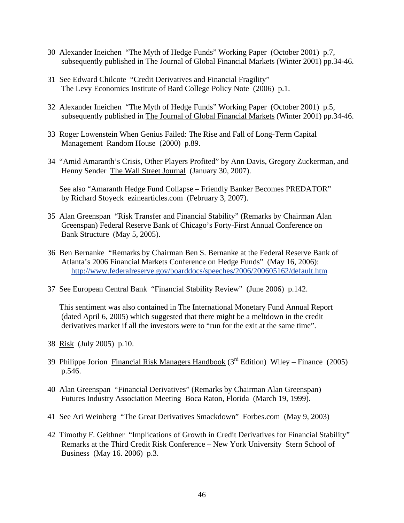- 30 Alexander Ineichen "The Myth of Hedge Funds" Working Paper (October 2001) p.7, subsequently published in The Journal of Global Financial Markets (Winter 2001) pp.34-46.
- 31 See Edward Chilcote "Credit Derivatives and Financial Fragility" The Levy Economics Institute of Bard College Policy Note (2006) p.1.
- 32 Alexander Ineichen "The Myth of Hedge Funds" Working Paper (October 2001) p.5, subsequently published in The Journal of Global Financial Markets (Winter 2001) pp.34-46.
- 33 Roger Lowenstein When Genius Failed: The Rise and Fall of Long-Term Capital Management Random House (2000) p.89.
- 34 "Amid Amaranth's Crisis, Other Players Profited" by Ann Davis, Gregory Zuckerman, and Henny Sender The Wall Street Journal (January 30, 2007).

 See also "Amaranth Hedge Fund Collapse – Friendly Banker Becomes PREDATOR" by Richard Stoyeck ezinearticles.com (February 3, 2007).

- 35 Alan Greenspan "Risk Transfer and Financial Stability" (Remarks by Chairman Alan Greenspan) Federal Reserve Bank of Chicago's Forty-First Annual Conference on Bank Structure (May 5, 2005).
- 36 Ben Bernanke "Remarks by Chairman Ben S. Bernanke at the Federal Reserve Bank of Atlanta's 2006 Financial Markets Conference on Hedge Funds" (May 16, 2006): http://www.federalreserve.gov/boarddocs/speeches/2006/200605162/default.htm
- 37 See European Central Bank "Financial Stability Review" (June 2006) p.142.

 This sentiment was also contained in The International Monetary Fund Annual Report (dated April 6, 2005) which suggested that there might be a meltdown in the credit derivatives market if all the investors were to "run for the exit at the same time".

- 38 Risk (July 2005) p.10.
- 39 Philippe Jorion Financial Risk Managers Handbook ( $3<sup>rd</sup>$  Edition) Wiley Finance (2005) p.546.
- 40 Alan Greenspan "Financial Derivatives" (Remarks by Chairman Alan Greenspan) Futures Industry Association Meeting Boca Raton, Florida (March 19, 1999).
- 41 See Ari Weinberg "The Great Derivatives Smackdown" Forbes.com (May 9, 2003)
- 42 Timothy F. Geithner "Implications of Growth in Credit Derivatives for Financial Stability" Remarks at the Third Credit Risk Conference – New York University Stern School of Business (May 16. 2006) p.3.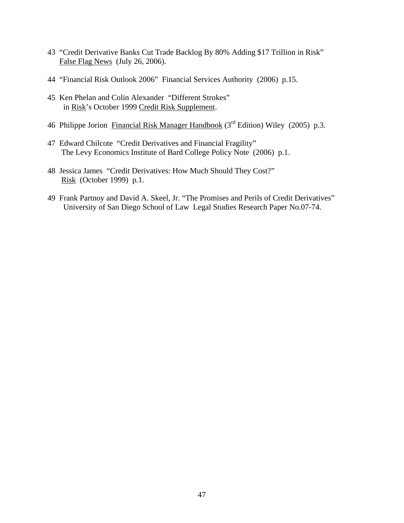- 43 "Credit Derivative Banks Cut Trade Backlog By 80% Adding \$17 Trillion in Risk" False Flag News (July 26, 2006).
- 44 "Financial Risk Outlook 2006" Financial Services Authority (2006) p.15.
- 45 Ken Phelan and Colin Alexander "Different Strokes" in Risk's October 1999 Credit Risk Supplement.
- 46 Philippe Jorion Financial Risk Manager Handbook (3<sup>rd</sup> Edition) Wiley (2005) p.3.
- 47 Edward Chilcote "Credit Derivatives and Financial Fragility" The Levy Economics Institute of Bard College Policy Note (2006) p.1.
- 48 Jessica James "Credit Derivatives: How Much Should They Cost?" Risk (October 1999) p.1.
- 49 Frank Partnoy and David A. Skeel, Jr. "The Promises and Perils of Credit Derivatives" University of San Diego School of Law Legal Studies Research Paper No.07-74.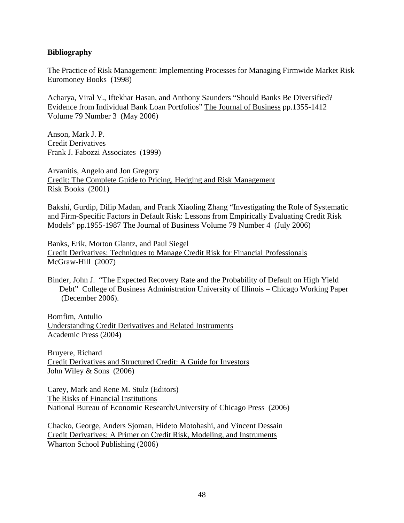# **Bibliography**

The Practice of Risk Management: Implementing Processes for Managing Firmwide Market Risk Euromoney Books (1998)

Acharya, Viral V., Iftekhar Hasan, and Anthony Saunders "Should Banks Be Diversified? Evidence from Individual Bank Loan Portfolios" The Journal of Business pp.1355-1412 Volume 79 Number 3 (May 2006)

Anson, Mark J. P. Credit Derivatives Frank J. Fabozzi Associates (1999)

Arvanitis, Angelo and Jon Gregory Credit: The Complete Guide to Pricing, Hedging and Risk Management Risk Books (2001)

Bakshi, Gurdip, Dilip Madan, and Frank Xiaoling Zhang "Investigating the Role of Systematic and Firm-Specific Factors in Default Risk: Lessons from Empirically Evaluating Credit Risk Models" pp.1955-1987 The Journal of Business Volume 79 Number 4 (July 2006)

Banks, Erik, Morton Glantz, and Paul Siegel Credit Derivatives: Techniques to Manage Credit Risk for Financial Professionals McGraw-Hill (2007)

Binder, John J. "The Expected Recovery Rate and the Probability of Default on High Yield Debt" College of Business Administration University of Illinois – Chicago Working Paper (December 2006).

Bomfim, Antulio Understanding Credit Derivatives and Related Instruments Academic Press (2004)

Bruyere, Richard Credit Derivatives and Structured Credit: A Guide for Investors John Wiley & Sons (2006)

Carey, Mark and Rene M. Stulz (Editors) The Risks of Financial Institutions National Bureau of Economic Research/University of Chicago Press (2006)

Chacko, George, Anders Sjoman, Hideto Motohashi, and Vincent Dessain Credit Derivatives: A Primer on Credit Risk, Modeling, and Instruments Wharton School Publishing (2006)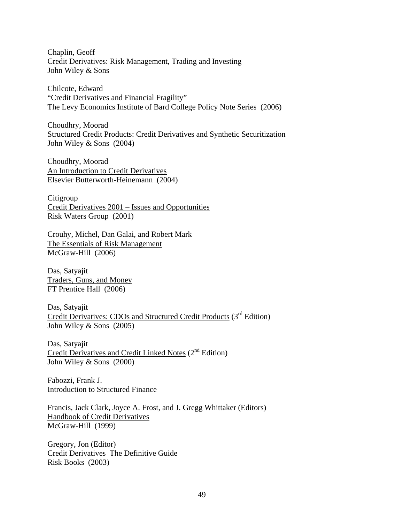Chaplin, Geoff Credit Derivatives: Risk Management, Trading and Investing John Wiley & Sons

Chilcote, Edward "Credit Derivatives and Financial Fragility" The Levy Economics Institute of Bard College Policy Note Series (2006)

Choudhry, Moorad Structured Credit Products: Credit Derivatives and Synthetic Securitization John Wiley & Sons (2004)

Choudhry, Moorad An Introduction to Credit Derivatives Elsevier Butterworth-Heinemann (2004)

Citigroup Credit Derivatives 2001 – Issues and Opportunities Risk Waters Group (2001)

Crouhy, Michel, Dan Galai, and Robert Mark The Essentials of Risk Management McGraw-Hill (2006)

Das, Satyajit Traders, Guns, and Money FT Prentice Hall (2006)

Das, Satyajit Credit Derivatives: CDOs and Structured Credit Products (3<sup>rd</sup> Edition) John Wiley & Sons (2005)

Das, Satyajit Credit Derivatives and Credit Linked Notes (2<sup>nd</sup> Edition) John Wiley & Sons (2000)

Fabozzi, Frank J. **Introduction to Structured Finance** 

Francis, Jack Clark, Joyce A. Frost, and J. Gregg Whittaker (Editors) Handbook of Credit Derivatives McGraw-Hill (1999)

Gregory, Jon (Editor) Credit Derivatives The Definitive Guide Risk Books (2003)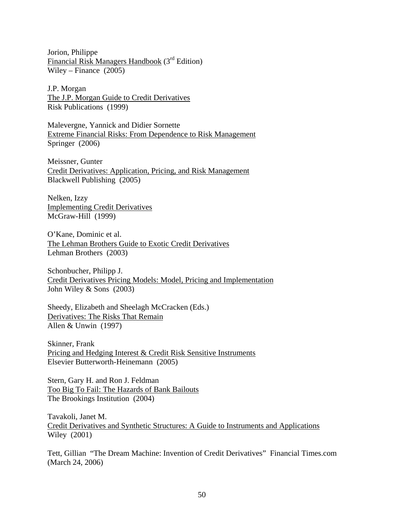Jorion, Philippe Financial Risk Managers Handbook (3rd Edition) Wiley – Finance (2005)

J.P. Morgan The J.P. Morgan Guide to Credit Derivatives Risk Publications (1999)

Malevergne, Yannick and Didier Sornette Extreme Financial Risks: From Dependence to Risk Management Springer (2006)

Meissner, Gunter Credit Derivatives: Application, Pricing, and Risk Management Blackwell Publishing (2005)

Nelken, Izzy Implementing Credit Derivatives McGraw-Hill (1999)

O'Kane, Dominic et al. The Lehman Brothers Guide to Exotic Credit Derivatives Lehman Brothers (2003)

Schonbucher, Philipp J. Credit Derivatives Pricing Models: Model, Pricing and Implementation John Wiley & Sons (2003)

Sheedy, Elizabeth and Sheelagh McCracken (Eds.) Derivatives: The Risks That Remain Allen & Unwin (1997)

Skinner, Frank Pricing and Hedging Interest & Credit Risk Sensitive Instruments Elsevier Butterworth-Heinemann (2005)

Stern, Gary H. and Ron J. Feldman Too Big To Fail: The Hazards of Bank Bailouts The Brookings Institution (2004)

Tavakoli, Janet M. Credit Derivatives and Synthetic Structures: A Guide to Instruments and Applications Wiley (2001)

Tett, Gillian "The Dream Machine: Invention of Credit Derivatives" Financial Times.com (March 24, 2006)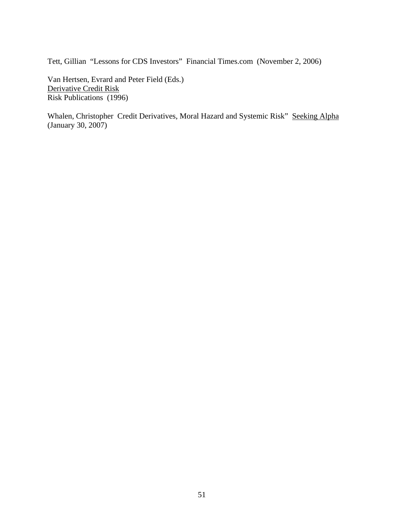Tett, Gillian "Lessons for CDS Investors" Financial Times.com (November 2, 2006)

Van Hertsen, Evrard and Peter Field (Eds.) Derivative Credit Risk Risk Publications (1996)

Whalen, Christopher Credit Derivatives, Moral Hazard and Systemic Risk" Seeking Alpha (January 30, 2007)